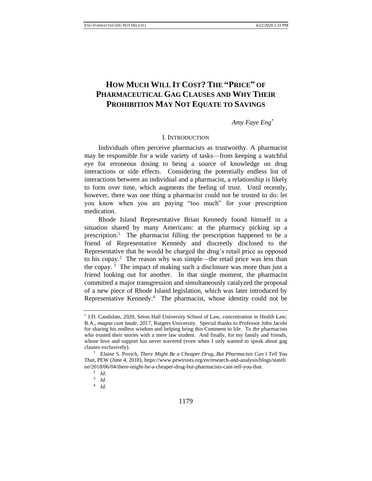# **HOW MUCH WILL IT COST? THE "PRICE" OF PHARMACEUTICAL GAG CLAUSES AND WHY THEIR PROHIBITION MAY NOT EQUATE TO SAVINGS**

*Amy Faye Eng\**

### I. INTRODUCTION

Individuals often perceive pharmacists as trustworthy. A pharmacist may be responsible for a wide variety of tasks—from keeping a watchful eye for erroneous dosing to being a source of knowledge on drug interactions or side effects. Considering the potentially endless list of interactions between an individual and a pharmacist, a relationship is likely to form over time, which augments the feeling of trust. Until recently, however, there was one thing a pharmacist could not be trusted to do: let you know when you are paying "too much" for your prescription medication.

<span id="page-0-0"></span>Rhode Island Representative Brian Kennedy found himself in a situation shared by many Americans: at the pharmacy picking up a prescription.<sup>1</sup> The pharmacist filling the prescription happened to be a friend of Representative Kennedy and discreetly disclosed to the Representative that he would be charged the drug's retail price as opposed to his copay.<sup>2</sup> The reason why was simple—the retail price was less than the copay. <sup>3</sup> The impact of making such a disclosure was more than just a friend looking out for another. In that single moment, the pharmacist committed a major transgression and simultaneously catalyzed the proposal of a new piece of Rhode Island legislation, which was later introduced by Representative Kennedy.<sup>4</sup> The pharmacist, whose identity could not be

<sup>\*</sup> J.D. Candidate, 2020, Seton Hall University School of Law, concentration in Health Law; B.A., *magna cum laude*, 2017, Rutgers University. Special thanks to Professor John Jacobi for sharing his endless wisdom and helping bring this Comment to life. To the pharmacists who trusted their stories with a mere law student. And finally, for my family and friends, whose love and support has never wavered (even when I only wanted to speak about gag clauses exclusively).

<sup>1</sup> Elaine S. Povich, *There Might Be a Cheaper Drug, But Pharmacists Can't Tell You That*, PEW (June 4, 2018), https://www.pewtrusts.org/en/research-and-analysis/blogs/stateli ne/2018/06/04/there-might-be-a-cheaper-drug-but-pharmacists-cant-tell-you-that.

<sup>2</sup> *Id.*

<sup>3</sup> *Id.*

<sup>4</sup> *Id.*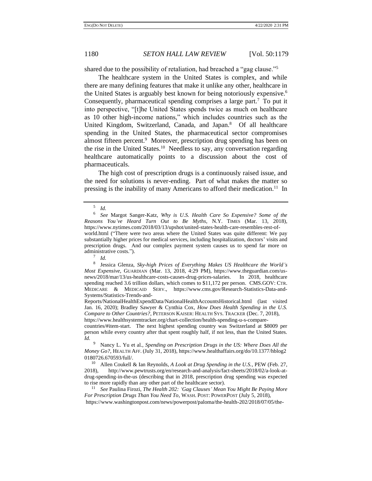shared due to the possibility of retaliation, had breached a "gag clause."<sup>5</sup>

The healthcare system in the United States is complex, and while there are many defining features that make it unlike any other, healthcare in the United States is arguably best known for being notoriously expensive.<sup>6</sup> Consequently, pharmaceutical spending comprises a large part.<sup>7</sup> To put it into perspective, "[t]he United States spends twice as much on healthcare as 10 other high-income nations," which includes countries such as the United Kingdom, Switzerland, Canada, and Japan.<sup>8</sup> Of all healthcare spending in the United States, the pharmaceutical sector compromises almost fifteen percent.<sup>9</sup> Moreover, prescription drug spending has been on the rise in the United States.<sup>10</sup> Needless to say, any conversation regarding healthcare automatically points to a discussion about the cost of pharmaceuticals.

The high cost of prescription drugs is a continuously raised issue, and the need for solutions is never-ending. Part of what makes the matter so pressing is the inability of many Americans to afford their medication.<sup>11</sup> In

8 Jessica Glenza, *Sky-high Prices of Everything Makes US Healthcare the World's Most Expensive*, GUARDIAN (Mar. 13, 2018, 4:29 PM), https://www.theguardian.com/usnews/2018/mar/13/us-healthcare-costs-causes-drug-prices-salaries. In 2018, healthcare spending reached 3.6 trillion dollars, which comes to \$11,172 per person. CMS.GOV: CTR. MEDICARE & MEDICAID SERV., https://www.cms.gov/Research-Statistics-Data-and-Systems/Statistics-Trends-and-

Reports/NationalHealthExpendData/NationalHealthAccountsHistorical.html (last visited Jan. 16, 2020); Bradley Sawyer & Cynthia Cox, *How Does Health Spending in the U.S. Compare to Other Countries?*, PETERSON KAISER: HEALTH SYS. TRACKER (Dec. 7, 2018),

https://www.healthsystemtracker.org/chart-collection/health-spending-u-s-comparecountries/#item-start. The next highest spending country was Switzerland at \$8009 per

person while every country after that spent roughly half, if not less, than the United States. *Id.*

<span id="page-1-0"></span><sup>5</sup> *Id.*

<sup>6</sup> *See* Margot Sanger-Katz, *Why is U.S. Health Care So Expensive? Some of the Reasons You've Heard Turn Out to Be Myths*, N.Y. TIMES (Mar. 13, 2018), https://www.nytimes.com/2018/03/13/upshot/united-states-health-care-resembles-rest-ofworld.html ("There were two areas where the United States was quite different: We pay substantially higher prices for medical services, including hospitalization, doctors' visits and prescription drugs. And our complex payment system causes us to spend far more on administrative costs."). 7

*Id.*

<sup>9</sup> Nancy L. Yu et al., *Spending on Prescription Drugs in the US: Where Does All the Money Go?*, HEALTH AFF. (July 31, 2018), https://www.healthaffairs.org/do/10.1377/hblog2 0180726.670593/full/.

<sup>10</sup> Allen Coukell & Ian Reynolds, *A Look at Drug Spending in the U.S.*, PEW (Feb. 27, 2018), http://www.pewtrusts.org/en/research-and-analysis/fact-sheets/2018/02/a-look-atdrug-spending-in-the-us (describing that in 2018, prescription drug spending was expected to rise more rapidly than any other part of the healthcare sector).

<sup>11</sup> *See* Paulina Firozi, *The Health 202: 'Gag Clauses' Mean You Might Be Paying More For Prescription Drugs Than You Need To*, WASH. POST: POWERPOST (July 5, 2018), https://www.washingtonpost.com/news/powerpost/paloma/the-health-202/2018/07/05/the-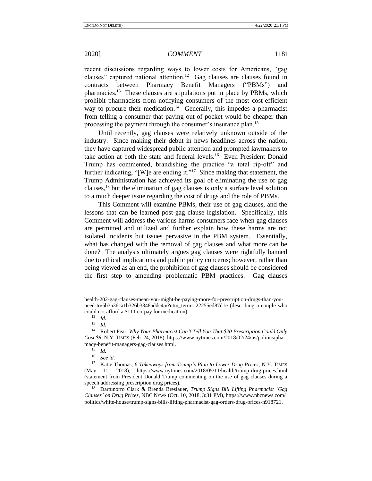recent discussions regarding ways to lower costs for Americans, "gag clauses" captured national attention.<sup>12</sup> Gag clauses are clauses found in contracts between Pharmacy Benefit Managers ("PBMs") and pharmacies.<sup>13</sup> These clauses are stipulations put in place by PBMs, which prohibit pharmacists from notifying consumers of the most cost-efficient way to procure their medication.<sup>14</sup> Generally, this impedes a pharmacist from telling a consumer that paying out-of-pocket would be cheaper than processing the payment through the consumer's insurance plan.<sup>15</sup>

<span id="page-2-0"></span>Until recently, gag clauses were relatively unknown outside of the industry. Since making their debut in news headlines across the nation, they have captured widespread public attention and prompted lawmakers to take action at both the state and federal levels.<sup>16</sup> Even President Donald Trump has commented, brandishing the practice "a total rip-off" and further indicating, "[W]e are ending it."<sup>17</sup> Since making that statement, the Trump Administration has achieved its goal of eliminating the use of gag clauses, $^{18}$  but the elimination of gag clauses is only a surface level solution to a much deeper issue regarding the cost of drugs and the role of PBMs.

<span id="page-2-1"></span>This Comment will examine PBMs, their use of gag clauses, and the lessons that can be learned post-gag clause legislation. Specifically, this Comment will address the various harms consumers face when gag clauses are permitted and utilized and further explain how these harms are not isolated incidents but issues pervasive in the PBM system. Essentially, what has changed with the removal of gag clauses and what more can be done? The analysis ultimately argues gag clauses were rightfully banned due to ethical implications and public policy concerns; however, rather than being viewed as an end, the prohibition of gag clauses should be considered the first step to amending problematic PBM practices. Gag clauses

health-202-gag-clauses-mean-you-might-be-paying-more-for-prescription-drugs-than-youneed-to/5b3a36ca1b326b3348addc4a/?utm\_term=.22255ed87d1e (describing a couple who could not afford a \$111 co-pay for medication).<br> $\frac{12}{1}$ 

 $\frac{12}{13}$  *Id.* 

 $\frac{13}{14}$  *Id.* 

<sup>14</sup> Robert Pear, *Why Your Pharmacist Can't Tell You That \$20 Prescription Could Only Cost \$8*, N.Y. TIMES (Feb. 24, 2018), https://www.nytimes.com/2018/02/24/us/politics/phar macy-benefit-managers-gag-clauses.html.<br> $\frac{15}{14}$ 

 $\frac{15}{16}$  *Id.* 

 $\frac{16}{17}$  *See id.* 

<sup>17</sup> Katie Thomas, *6 Takeaways from Trump's Plan to Lower Drug Prices*, N.Y. TIMES (May 11, 2018), https://www.nytimes.com/2018/05/11/health/trump-drug-prices.html (statement from President Donald Trump commenting on the use of gag clauses during a speech addressing prescription drug prices).

<sup>18</sup> Dartunorro Clark & Brenda Breslauer, *Trump Signs Bill Lifting Pharmacist 'Gag Clauses' on Drug Prices*, NBC NEWS (Oct. 10, 2018, 3:31 PM), https://www.nbcnews.com/ politics/white-house/trump-signs-bills-lifting-pharmacist-gag-orders-drug-prices-n918721.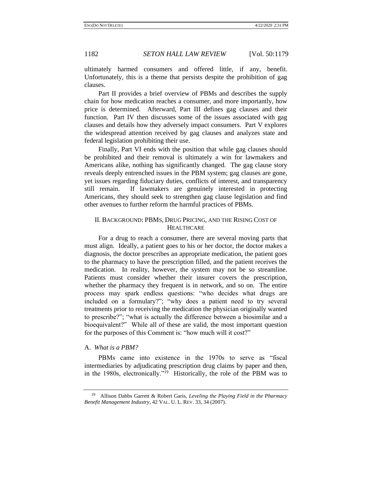ultimately harmed consumers and offered little, if any, benefit. Unfortunately, this is a theme that persists despite the prohibition of gag clauses.

Part II provides a brief overview of PBMs and describes the supply chain for how medication reaches a consumer, and more importantly, how price is determined. Afterward, Part III defines gag clauses and their function. Part IV then discusses some of the issues associated with gag clauses and details how they adversely impact consumers. Part V explores the widespread attention received by gag clauses and analyzes state and federal legislation prohibiting their use.

Finally, Part VI ends with the position that while gag clauses should be prohibited and their removal is ultimately a win for lawmakers and Americans alike, nothing has significantly changed. The gag clause story reveals deeply entrenched issues in the PBM system; gag clauses are gone, yet issues regarding fiduciary duties, conflicts of interest, and transparency still remain. If lawmakers are genuinely interested in protecting Americans, they should seek to strengthen gag clause legislation and find other avenues to further reform the harmful practices of PBMs.

# II. BACKGROUND: PBMS, DRUG PRICING, AND THE RISING COST OF **HEALTHCARE**

For a drug to reach a consumer, there are several moving parts that must align. Ideally, a patient goes to his or her doctor, the doctor makes a diagnosis, the doctor prescribes an appropriate medication, the patient goes to the pharmacy to have the prescription filled, and the patient receives the medication. In reality, however, the system may not be so streamline. Patients must consider whether their insurer covers the prescription, whether the pharmacy they frequent is in network, and so on. The entire process may spark endless questions: "who decides what drugs are included on a formulary?"; "why does a patient need to try several treatments prior to receiving the medication the physician originally wanted to prescribe?"; "what is actually the difference between a biosimilar and a bioequivalent?" While all of these are valid, the most important question for the purposes of this Comment is: "how much will it cost?"

### A. *What is a PBM?*

<span id="page-3-0"></span>PBMs came into existence in the 1970s to serve as "fiscal intermediaries by adjudicating prescription drug claims by paper and then, in the 1980s, electronically."<sup>19</sup> Historically, the role of the PBM was to

<sup>19</sup> Allison Dabbs Garrett & Robert Garis, *Leveling the Playing Field in the Pharmacy Benefit Management Industry*, 42 VAL. U. L. REV. 33, 34 (2007).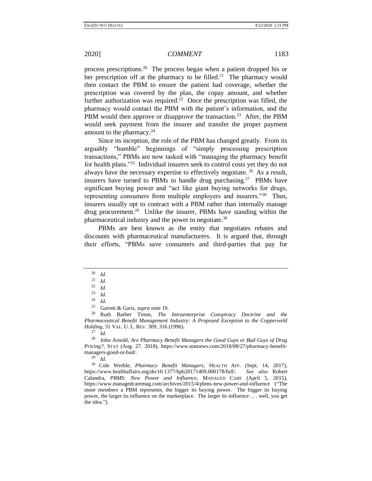process prescriptions.<sup>20</sup> The process began when a patient dropped his or her prescription off at the pharmacy to be filled.<sup>21</sup> The pharmacy would then contact the PBM to ensure the patient had coverage, whether the prescription was covered by the plan, the copay amount, and whether further authorization was required.<sup>22</sup> Once the prescription was filled, the pharmacy would contact the PBM with the patient's information, and the PBM would then approve or disapprove the transaction.<sup>23</sup> After, the PBM would seek payment from the insurer and transfer the proper payment amount to the pharmacy.<sup>24</sup>

Since its inception, the role of the PBM has changed greatly. From its arguably "humble" beginnings of "simply processing prescription transactions," PBMs are now tasked with "managing the pharmacy benefit for health plans."<sup>25</sup> Individual insurers seek to control costs yet they do not always have the necessary expertise to effectively negotiate.  $^{26}$  As a result, insurers have turned to PBMs to handle drug purchasing.<sup>27</sup> PBMs have significant buying power and "act like giant buying networks for drugs, representing consumers from multiple employers and insurers."<sup>28</sup> Thus, insurers usually opt to contract with a PBM rather than internally manage drug procurement.<sup>29</sup> Unlike the insurer, PBMs have standing within the pharmaceutical industry and the power to negotiate.<sup>30</sup>

<span id="page-4-0"></span>PBMs are best known as the entity that negotiates rebates and discounts with pharmaceutical manufacturers. It is argued that, through their efforts, "PBMs save consumers and third-parties that pay for

<sup>26</sup> Ruth Barber Timm, *The Intraenterprise Conspiracy Doctrine and the Pharmaceutical Benefit Management Industry: A Proposed Exception to the Copperweld Holding*, 31 VAL. U. L. REV. 309, 316 (1996).

<sup>27</sup> *Id.*

<sup>28</sup> John Arnold, *Are Pharmacy Benefit Managers the Good Guys or Bad Guys of Drug Pricing?*, STAT (Aug. 27. 2018), https://www.statnews.com/2018/08/27/pharmacy-benefitmanagers-good-or-bad/.

*Id.* 

<sup>30</sup> Cole Werble, *Pharmacy Benefit Managers*, HEALTH AFF. (Sept. 14, 2017), ps://www.healthaffairs.org/do/10.1377/hpb20171409.000178/full/. *See also* Robert https://www.healthaffairs.org/do/10.1377/hpb20171409.000178/full/. Calandra, *PBMS: New Power and Influence*, MANAGED CARE (April 5, 2015), https://www.managedcaremag.com/archives/2015/4/pbms-new-power-and-influence ("The more members a PBM represents, the bigger its buying power. The bigger its buying power, the larger its influence on the marketplace. The larger its influence . . . well, you get the idea.").

 $\frac{20}{21}$  *Id.* 

 $rac{21}{22}$  *Id.* 

 $\frac{22}{23}$  *Id.* 

 $\frac{23}{24}$  *Id.* 

 $\frac{24}{25}$  *Id.* 

<sup>&</sup>lt;sup>25</sup> Garrett & Garis, *supra* not[e 19.](#page-3-0)<br><sup>26</sup> Ruth Barber Timm. *The*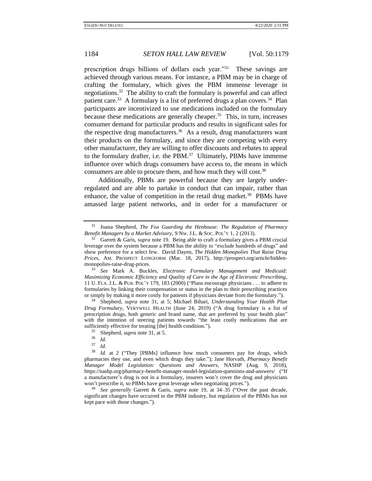<span id="page-5-1"></span><span id="page-5-0"></span>prescription drugs billions of dollars each year."<sup>31</sup> These savings are achieved through various means. For instance, a PBM may be in charge of crafting the formulary, which gives the PBM immense leverage in negotiations.<sup>32</sup> The ability to craft the formulary is powerful and can affect patient care.<sup>33</sup> A formulary is a list of preferred drugs a plan covers.<sup>34</sup> Plan participants are incentivized to use medications included on the formulary because these medications are generally cheaper.<sup>35</sup> This, in turn, increases consumer demand for particular products and results in significant sales for the respective drug manufacturers.<sup>36</sup> As a result, drug manufacturers want their products on the formulary, and since they are competing with every other manufacturer, they are willing to offer discounts and rebates to appeal to the formulary drafter, i.e. the PBM. $37$  Ultimately, PBMs have immense influence over which drugs consumers have access to, the means in which consumers are able to procure them, and how much they will cost.<sup>38</sup>

<span id="page-5-2"></span>Additionally, PBMs are powerful because they are largely underregulated and are able to partake in conduct that can impair, rather than enhance, the value of competition in the retail drug market.<sup>39</sup> PBMs have amassed large patient networks, and in order for a manufacturer or

<sup>34</sup> Shepherd, *supra* note [31,](#page-5-0) at 5; Michael Bihari, *Understanding Your Health Plan Drug Formulary*, VERYWELL HEALTH (June 24, 2019) ("A drug formulary is a list of prescription drugs, both generic and brand name, that are preferred by your health plan" with the intention of steering patients towards "the least costly medications that are sufficiently effective for treating [the] health condition.").

<sup>39</sup> *See generally* Garrett & Garis, *supra* note [19,](#page-3-0) at 34–35 ("Over the past decade, significant changes have occurred in the PBM industry, but regulation of the PBMs has not kept pace with those changes.").

<sup>31</sup> Joana Shepherd, *The Fox Guarding the Henhouse: The Regulation of Pharmacy Benefit Managers by a Market Advisory*, 9 NW. J.L. & SOC. POL'Y 1, 2 (2013).

<sup>32</sup> Garrett & Garis, *supra* note [19.](#page-3-0) Being able to craft a formulary gives a PBM crucial leverage over the system because a PBM has the ability to "exclude hundreds of drugs" and show preference for a select few. David Dayen, *The Hidden Monopolies That Raise Drug Prices*, AM. PROSPECT LONGFORM (Mar. 18, 2017), http://prospect.org/article/hiddenmonopolies-raise-drug-prices.

<sup>33</sup> *See* Mark A. Buckles, *Electronic Formulary Management and Medicaid: Maximizing Economic Efficiency and Quality of Care in the Age of Electronic Prescribing*, 11 U. FLA. J.L. & PUB. POL'Y 179, 183 (2000) ("Plans encourage physicians . . . to adhere to formularies by linking their compensation or status in the plan to their prescribing practices or simply by making it more costly for patients if physicians deviate from the formulary.").

<sup>35</sup> Shepherd, *supra* not[e 31,](#page-5-0) at 5*.*

 $rac{36}{37}$  *Id.* 

 $rac{37}{38}$  *Id.* 

Id. at 2 ("They [PBMs] influence how much consumers pay for drugs, which pharmacies they use, and even which drugs they take."); Jane Horvath, *Pharmacy Benefit Manager Model Legislation: Questions and Answers*, NASHP (Aug. 9, 2018), https://nashp.org/pharmacy-benefit-manager-model-legislation-questions-and-answers/ ("If a manufacturer's drug is not in a formulary, insurers won't cover the drug and physicians won't prescribe it, so PBMs have great leverage when negotiating prices.").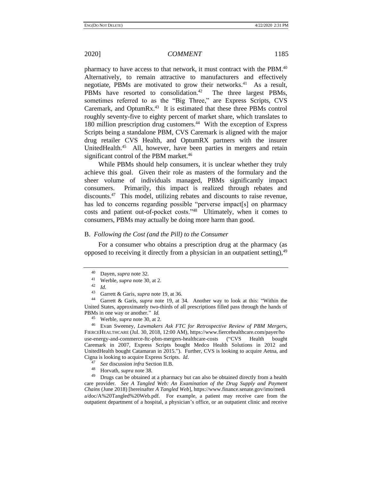<span id="page-6-0"></span>

pharmacy to have access to that network, it must contract with the PBM.<sup>40</sup> Alternatively, to remain attractive to manufacturers and effectively negotiate, PBMs are motivated to grow their networks.<sup>41</sup> As a result, PBMs have resorted to consolidation.<sup>42</sup> The three largest PBMs, sometimes referred to as the "Big Three," are Express Scripts, CVS Caremark, and OptumRx. $43$  It is estimated that these three PBMs control roughly seventy-five to eighty percent of market share, which translates to 180 million prescription drug customers.<sup>44</sup> With the exception of Express Scripts being a standalone PBM, CVS Caremark is aligned with the major drug retailer CVS Health, and OptumRX partners with the insurer UnitedHealth.<sup>45</sup> All, however, have been parties in mergers and retain significant control of the PBM market.<sup>46</sup>

While PBMs should help consumers, it is unclear whether they truly achieve this goal. Given their role as masters of the formulary and the sheer volume of individuals managed, PBMs significantly impact consumers. Primarily, this impact is realized through rebates and discounts.<sup>47</sup> This model, utilizing rebates and discounts to raise revenue, has led to concerns regarding possible "perverse impact[s] on pharmacy costs and patient out-of-pocket costs."<sup>48</sup> Ultimately, when it comes to consumers, PBMs may actually be doing more harm than good.

### B. *Following the Cost (and the Pill) to the Consumer*

For a consumer who obtains a prescription drug at the pharmacy (as opposed to receiving it directly from a physician in an outpatient setting),  $49$ 

- <sup>47</sup> *See* discussion *infra* Section II.B.
- 48 Horvath, *supra* not[e 38.](#page-5-2)

Drugs can be obtained at a pharmacy but can also be obtained directly from a health care provider. *See A Tangled Web: An Examination of the Drug Supply and Payment Chains* (June 2018) [hereinafter *A Tangled Web*], https://www.finance.senate.gov/imo/medi a/doc/A%20Tangled%20Web.pdf. For example, a patient may receive care from the outpatient department of a hospital, a physician's office, or an outpatient clinic and receive

<span id="page-6-1"></span><sup>40</sup> Dayen, *supra* not[e 32.](#page-5-1)

<sup>&</sup>lt;sup>41</sup> Werble, *supra* not[e 30,](#page-4-0) at 2.

<sup>42</sup> *Id.*

<sup>&</sup>lt;sup>43</sup> Garrett & Garis, *supra* not[e 19,](#page-3-0) at 36.

Garrett & Garis, *supra* note [19,](#page-3-0) at 34. Another way to look at this: "Within the United States, approximately two-thirds of all prescriptions filled pass through the hands of PBMs in one way or another." *Id.*

<sup>45</sup> Werble, *supra* not[e 30,](#page-4-0) at 2.

<sup>46</sup> Evan Sweeney, *Lawmakers Ask FTC for Retrospective Review of PBM Merger*s, FIERCEHEALTHCARE (Jul. 30, 2018, 12:00 AM), https://www.fiercehealthcare.com/payer/ho use-energy-and-commerce-ftc-pbm-mergers-healthcare-costs ("CVS Health bought Caremark in 2007, Express Scripts bought Medco Health Solutions in 2012 and UnitedHealth bought Catamaran in 2015."). Further, CVS is looking to acquire Aetna, and Cigna is looking to acquire Express Scripts. *Id*.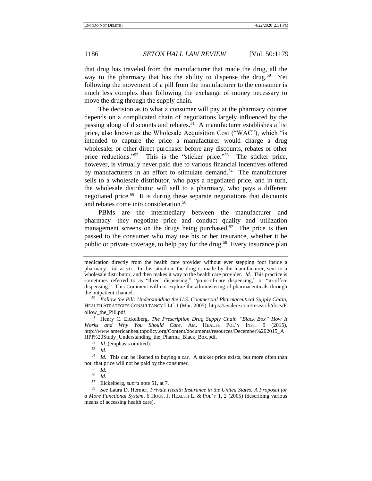that drug has traveled from the manufacturer that made the drug, all the way to the pharmacy that has the ability to dispense the drug.<sup>50</sup> Yet following the movement of a pill from the manufacturer to the consumer is much less complex than following the exchange of money necessary to move the drug through the supply chain.

<span id="page-7-0"></span>The decision as to what a consumer will pay at the pharmacy counter depends on a complicated chain of negotiations largely influenced by the passing along of discounts and rebates.<sup>51</sup> A manufacturer establishes a list price, also known as the Wholesale Acquisition Cost ("WAC"), which "is intended to capture the price a manufacturer would charge a drug wholesaler or other direct purchaser before any discounts, rebates or other price reductions."<sup>52</sup> This is the "sticker price."<sup>53</sup> The sticker price, however, is virtually never paid due to various financial incentives offered by manufacturers in an effort to stimulate demand.<sup>54</sup> The manufacturer sells to a wholesale distributor, who pays a negotiated price, and in turn, the wholesale distributor will sell to a pharmacy, who pays a different negotiated price.<sup>55</sup> It is during these separate negotiations that discounts and rebates come into consideration.<sup>56</sup>

PBMs are the intermediary between the manufacturer and pharmacy—they negotiate price and conduct quality and utilization management screens on the drugs being purchased.<sup>57</sup> The price is then passed to the consumer who may use his or her insurance, whether it be public or private coverage, to help pay for the drug.<sup>58</sup> Every insurance plan

medication directly from the health care provider without ever stepping foot inside a pharmacy. *Id*. at vii. In this situation, the drug is made by the manufacturer, sent to a wholesale distributor, and then makes it way to the health care provider. *Id*. This practice is sometimes referred to as "direct dispensing," "point-of-care dispensing," or "in-office dispensing." This Comment will not explore the administering of pharmaceuticals through the outpatient channel.

<sup>50</sup> *Follow the Pill: Understanding the U.S. Commercial Pharmaceutical Supply Chain*, HEALTH STRATEGIES CONSULTANCY LLC 1 (Mar. 2005), https://avalere.com/research/docs/F ollow\_the\_Pill.pdf.

<sup>51</sup> Henry C. Eickelberg, *The Prescription Drug Supply Chain "Black Box" How It Works and Why You Should Care,* AM. HEALTH POL'Y INST. 9 (2015), http://www.americanhealthpolicy.org/Content/documents/resources/December%202015\_A HPI%20Study\_Understanding\_the\_Pharma\_Black\_Box.pdf.

<sup>52</sup> *Id.* (emphasis omitted).

 $\begin{array}{cc} 53 & Id. \\ 54 & Id. \end{array}$ 

Id. This can be likened to buying a car. A sticker price exists, but more often than not, that price will not be paid by the consumer.

 $\frac{55}{56}$  *Id.* 

 $\frac{56}{57}$  *Id.* 

Eickelberg, *supra* not[e 51,](#page-7-0) at 7.

<sup>58</sup> *See* Laura D. Hermer, *Private Health Insurance in the United States: A Proposal for a More Functional System*, 6 HOUS. J. HEALTH L. & POL'Y 1, 2 (2005) (describing various means of accessing health care).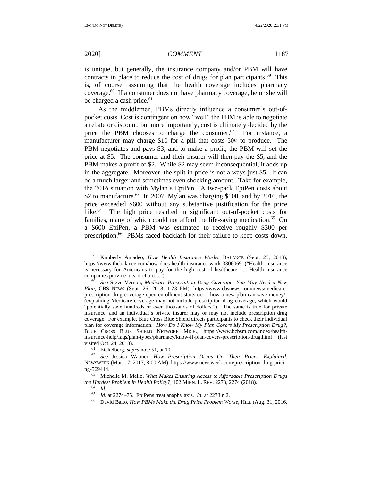is unique, but generally, the insurance company and/or PBM will have contracts in place to reduce the cost of drugs for plan participants.<sup>59</sup> This is, of course, assuming that the health coverage includes pharmacy coverage.<sup>60</sup> If a consumer does not have pharmacy coverage, he or she will be charged a cash price.<sup>61</sup>

As the middlemen, PBMs directly influence a consumer's out-ofpocket costs. Cost is contingent on how "well" the PBM is able to negotiate a rebate or discount, but more importantly, cost is ultimately decided by the price the PBM chooses to charge the consumer. $62$  For instance, a manufacturer may charge \$10 for a pill that costs 50¢ to produce. The PBM negotiates and pays \$3, and to make a profit, the PBM will set the price at \$5. The consumer and their insurer will then pay the \$5, and the PBM makes a profit of \$2. While \$2 may seem inconsequential, it adds up in the aggregate. Moreover, the split in price is not always just \$5. It can be a much larger and sometimes even shocking amount. Take for example, the 2016 situation with Mylan's EpiPen. A two-pack EpiPen costs about \$2 to manufacture.<sup>63</sup> In 2007, Mylan was charging \$100, and by 2016, the price exceeded \$600 without any substantive justification for the price hike.<sup>64</sup> The high price resulted in significant out-of-pocket costs for families, many of which could not afford the life-saving medication.<sup>65</sup> On a \$600 EpiPen, a PBM was estimated to receive roughly \$300 per prescription.<sup>66</sup> PBMs faced backlash for their failure to keep costs down,

<sup>61</sup> Eickelberg, *supra* not[e 51,](#page-7-0) at 10.

<span id="page-8-2"></span><span id="page-8-0"></span>

<span id="page-8-1"></span><sup>59</sup> Kimberly Amadeo, *How Health Insurance Works*, BALANCE (Sept. 25, 2018), https://www.thebalance.com/how-does-health-insurance-work-3306069 ("Health insurance is necessary for Americans to pay for the high cost of healthcare.... Health insurance companies provide lots of choices.").

<sup>60</sup> *See* Steve Vernon, *Medicare Prescription Drug Coverage: You May Need a New Plan*, CBS NEWS (Sept. 26, 2018; 1:23 PM), https://www.cbsnews.com/news/medicareprescription-drug-coverage-open-enrollment-starts-oct-1-how-a-new-plan-can-save-money/ (explaining Medicare coverage may not include prescription drug coverage, which would "potentially save hundreds or even thousands of dollars."). The same is true for private insurance, and an individual's private insurer may or may not include prescription drug coverage. For example, Blue Cross Blue Shield directs participants to check their individual plan for coverage information. *How Do I Know My Plan Covers My Prescription Drug?*, BLUE CROSS BLUE SHIELD NETWORK MICH., https://www.bcbsm.com/index/healthinsurance-help/faqs/plan-types/pharmacy/know-if-plan-covers-prescription-drug.html (last visited Oct. 24, 2018).

<sup>62</sup> *See* Jessica Wapner, *How Prescription Drugs Get Their Prices, Explained*, NEWSWEEK (Mar. 17, 2017, 8:00 AM), https://www.newsweek.com/prescription-drug-prici ng-569444.

<sup>63</sup> Michelle M. Mello, *What Makes Ensuring Access to Affordable Prescription Drugs the Hardest Problem in Health Policy?*, 102 MINN. L. REV. 2273, 2274 (2018).

<sup>64</sup> *Id.*

<sup>65</sup> *Id.* at 2274–75. EpiPens treat anaphylaxis. *Id.* at 2273 n.2.

<sup>66</sup> David Balto, *How PBMs Make the Drug Price Problem Worse*, HILL (Aug. 31, 2016,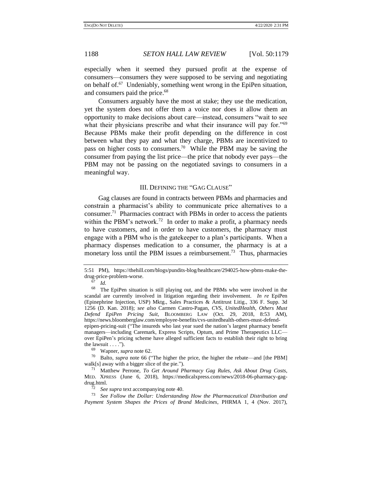especially when it seemed they pursued profit at the expense of consumers—consumers they were supposed to be serving and negotiating on behalf of.<sup>67</sup> Undeniably, something went wrong in the EpiPen situation, and consumers paid the price.<sup>68</sup>

Consumers arguably have the most at stake; they use the medication, yet the system does not offer them a voice nor does it allow them an opportunity to make decisions about care—instead, consumers "wait to see what their physicians prescribe and what their insurance will pay for."<sup>69</sup> Because PBMs make their profit depending on the difference in cost between what they pay and what they charge, PBMs are incentivized to pass on higher costs to consumers.<sup>70</sup> While the PBM may be saving the consumer from paying the list price—the price that nobody ever pays—the PBM may not be passing on the negotiated savings to consumers in a meaningful way.

### III. DEFINING THE "GAG CLAUSE"

<span id="page-9-0"></span>Gag clauses are found in contracts between PBMs and pharmacies and constrain a pharmacist's ability to communicate price alternatives to a consumer.<sup>71</sup> Pharmacies contract with PBMs in order to access the patients within the PBM's network.<sup>72</sup> In order to make a profit, a pharmacy needs to have customers, and in order to have customers, the pharmacy must engage with a PBM who is the gatekeeper to a plan's participants. When a pharmacy dispenses medication to a consumer, the pharmacy is at a monetary loss until the PBM issues a reimbursement.<sup>73</sup> Thus, pharmacies

<sup>69</sup> Wapner, *supra* not[e 62.](#page-8-0)

<sup>70</sup> Balto, *supra* note [66](#page-8-1) ("The higher the price, the higher the rebate—and [the PBM] walk[s] away with a bigger slice of the pie.").

<sup>5:51</sup> PM), https://thehill.com/blogs/pundits-blog/healthcare/294025-how-pbms-make-thedrug-price-problem-worse.

 $\frac{67}{68}$  *Id.* 

The EpiPen situation is still playing out, and the PBMs who were involved in the scandal are currently involved in litigation regarding their involvement. *In re* EpiPen (Epinephrine Injection, USP) Mktg., Sales Practices & Antitrust Litig., 336 F. Supp. 3d 1256 (D. Kan. 2018); *see also* Carmen Castro-Pagan, *CVS, UnitedHealth, Others Must Defend EpiPen Pricing Suit*, BLOOMBERG LAW (Oct. 29, 2018, 8:53 AM), https://news.bloomberglaw.com/employee-benefits/cvs-unitedhealth-others-must-defendepipen-pricing-suit ("The insureds who last year sued the nation's largest pharmacy benefit managers—including Caremark, Express Scripts, Optum, and Prime Therapeutics LLC over EpiPen's pricing scheme have alleged sufficient facts to establish their right to bring the lawsuit  $\dots$ .").

<sup>71</sup> Matthew Perrone, *To Get Around Pharmacy Gag Rules, Ask About Drug Costs*, MED. XPRESS (June 6, 2018), https://medicalxpress.com/news/2018-06-pharmacy-gagdrug.html.

See supra text accompanying note [40.](#page-6-0)

<sup>73</sup> *See Follow the Dollar: Understanding How the Pharmaceutical Distribution and Payment System Shapes the Prices of Brand Medicines*, PHRMA 1, 4 (Nov. 2017),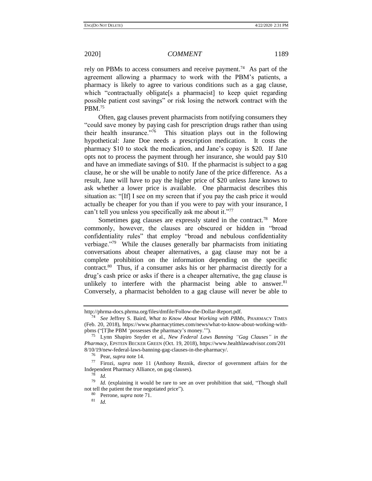rely on PBMs to access consumers and receive payment.<sup>74</sup> As part of the agreement allowing a pharmacy to work with the PBM's patients, a pharmacy is likely to agree to various conditions such as a gag clause, which "contractually obligate<sup>[s a</sup> pharmacist] to keep quiet regarding possible patient cost savings" or risk losing the network contract with the PBM.<sup>75</sup>

Often, gag clauses prevent pharmacists from notifying consumers they "could save money by paying cash for prescription drugs rather than using their health insurance."<sup>76</sup> This situation plays out in the following hypothetical: Jane Doe needs a prescription medication. It costs the pharmacy \$10 to stock the medication, and Jane's copay is \$20. If Jane opts not to process the payment through her insurance, she would pay \$10 and have an immediate savings of \$10. If the pharmacist is subject to a gag clause, he or she will be unable to notify Jane of the price difference. As a result, Jane will have to pay the higher price of \$20 unless Jane knows to ask whether a lower price is available. One pharmacist describes this situation as: "[If] I see on my screen that if you pay the cash price it would actually be cheaper for you than if you were to pay with your insurance, I can't tell you unless you specifically ask me about it."<sup>77</sup>

Sometimes gag clauses are expressly stated in the contract.<sup>78</sup> More commonly, however, the clauses are obscured or hidden in "broad confidentiality rules" that employ "broad and nebulous confidentiality verbiage."<sup>79</sup> While the clauses generally bar pharmacists from initiating conversations about cheaper alternatives, a gag clause may not be a complete prohibition on the information depending on the specific contract. 80 Thus, if a consumer asks his or her pharmacist directly for a drug's cash price or asks if there is a cheaper alternative, the gag clause is unlikely to interfere with the pharmacist being able to answer. $81$ Conversely, a pharmacist beholden to a gag clause will never be able to

<sup>80</sup> Perrone, *supra* not[e 71.](#page-9-0)

http://phrma-docs.phrma.org/files/dmfile/Follow-the-Dollar-Report.pdf.

<sup>74</sup> *See* Jeffrey S. Baird, *What to Know About Working with PBMs*, PHARMACY TIMES (Feb. 20, 2018), https://www.pharmacytimes.com/news/what-to-know-about-working-withpbms ("[T]he PBM 'possesses the pharmacy's money.'").

<sup>75</sup> Lynn Shapiro Snyder et al., *New Federal Laws Banning "Gag Clauses" in the Pharmacy*, EPSTEIN BECKER GREEN (Oct. 19, 2018), https://www.healthlawadvisor.com/201 8/10/19/new-federal-laws-banning-gag-clauses-in-the-pharmacy/.

<sup>76</sup> Pear, *supra* not[e 14.](#page-2-0)

<sup>77</sup> Firozi, *supra* note [11](#page-1-0) (Anthony Reznik, director of government affairs for the Independent Pharmacy Alliance, on gag clauses).  $\frac{78}{78}$  *M* 

*Id.* 

<sup>79</sup> *Id.* (explaining it would be rare to see an over prohibition that said, "Though shall not tell the patient the true negotiated price").

<sup>81</sup> *Id.*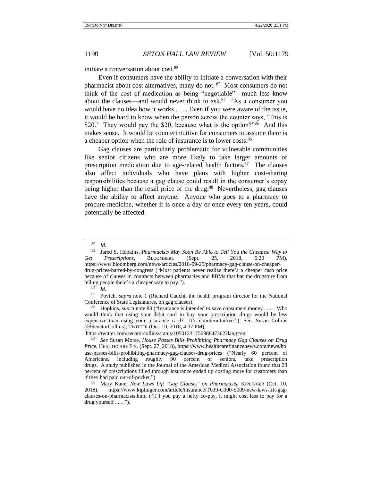initiate a conversation about cost.<sup>82</sup>

<span id="page-11-0"></span>Even if consumers have the ability to initiate a conversation with their pharmacist about cost alternatives, many do not.<sup>83</sup> Most consumers do not think of the cost of medication as being "negotiable"—much less know about the clauses—and would never think to ask.<sup>84</sup> "As a consumer you would have no idea how it works . . . . Even if you were aware of the issue, it would be hard to know when the person across the counter says, 'This is \$20.' They would pay the \$20, because what is the option?"<sup>85</sup> And this makes sense. It would be counterintuitive for consumers to assume there is a cheaper option when the role of insurance is to lower costs.<sup>86</sup>

Gag clauses are particularly problematic for vulnerable communities like senior citizens who are more likely to take larger amounts of prescription medication due to age-related health factors.<sup>87</sup> The clauses also affect individuals who have plans with higher cost-sharing responsibilities because a gag clause could result in the consumer's copay being higher than the retail price of the drug.<sup>88</sup> Nevertheless, gag clauses have the ability to affect anyone. Anyone who goes to a pharmacy to procure medicine, whether it is once a day or once every ten years, could potentially be affected.

<sup>85</sup> Povich, *supra* note [1](#page-0-0) (Richard Cauchi, the health program director for the National Conference of State Legislatures, on gag clauses).

<sup>86</sup> Hopkins, *supra* not[e 83](#page-11-0) ("Insurance is intended to save consumers money . . . . Who would think that using your debit card to buy your prescription drugs would be less expensive than using your insurance card? It's counterintuitive."); Sen. Susan Collins (@SenatorCollins), TWITTER (Oct. 10, 2018, 4:37 PM),

https://twitter.com/senatorcollins/status/1050123175688847362?lang=en.

<sup>87</sup> *See* Susan Morse, *House Passes Bills Prohibiting Pharmacy Gag Clauses on Drug Price*, HEALTHCARE FIN. (Sept. 27, 2018), https://www.healthcarefinancenews.com/news/ho use-passes-bills-prohibiting-pharmacy-gag-clauses-drug-prices ("Nearly 60 percent of Americans, including roughly 90 percent of seniors, take prescription drugs. A study published in the Journal of the American Medical Association found that 23 percent of prescriptions filled through insurance ended up costing more for customers than if they had paid out-of-pocket.")

<sup>88</sup> Mary Kane, *New Laws Lift 'Gag Clauses' on Pharmacists*, KIPLINGER (Oct. 10, 2018), https://www.kiplinger.com/article/insurance/T039-C000-S009-new-laws-lift-gagclauses-on-pharmacists.html ("[I]f you pay a hefty co-pay, it might cost less to pay for a drug yourself  $\dots$ .").

 $\frac{82}{83}$  *Id.* 

<sup>83</sup> Jared S. Hopkins, *Pharmacists May Soon Be Able to Tell You the Cheapest Way to Get Prescriptions*, BLOOMBERG (Sept. 25, 2018, 6:20 PM), https://www.bloomberg.com/news/articles/2018-09-25/pharmacy-gag-clause-on-cheaperdrug-prices-barred-by-congress ("Most patients never realize there's a cheaper cash price because of clauses in contracts between pharmacies and PBMs that bar the drugstore from telling people there's a cheaper way to pay.").

<sup>84</sup> *Id.*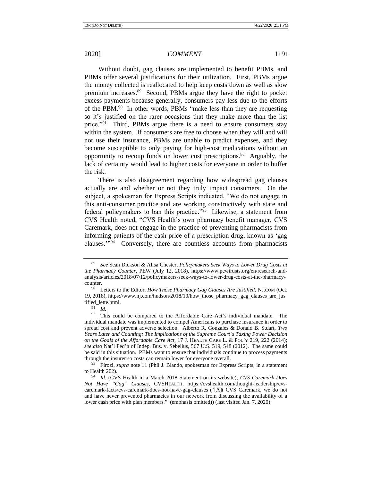<span id="page-12-0"></span>Without doubt, gag clauses are implemented to benefit PBMs, and PBMs offer several justifications for their utilization. First, PBMs argue the money collected is reallocated to help keep costs down as well as slow premium increases.<sup>89</sup> Second, PBMs argue they have the right to pocket excess payments because generally, consumers pay less due to the efforts of the PBM.<sup>90</sup> In other words, PBMs "make less than they are requesting so it's justified on the rarer occasions that they make more than the list price."<sup>91</sup> Third, PBMs argue there is a need to ensure consumers stay within the system. If consumers are free to choose when they will and will not use their insurance, PBMs are unable to predict expenses, and they become susceptible to only paying for high-cost medications without an opportunity to recoup funds on lower cost prescriptions.<sup>92</sup> Arguably, the lack of certainty would lead to higher costs for everyone in order to buffer the risk.

There is also disagreement regarding how widespread gag clauses actually are and whether or not they truly impact consumers. On the subject, a spokesman for Express Scripts indicated, "We do not engage in this anti-consumer practice and are working constructively with state and federal policymakers to ban this practice."<sup>93</sup> Likewise, a statement from CVS Health noted, "CVS Health's own pharmacy benefit manager, CVS Caremark, does not engage in the practice of preventing pharmacists from informing patients of the cash price of a prescription drug, known as 'gag clauses."<sup>94</sup> Conversely, there are countless accounts from pharmacists

<sup>89</sup> *See* Sean Dickson & Alisa Chester, *Policymakers Seek Ways to Lower Drug Costs at the Pharmacy Counter*, PEW (July 12, 2018), https://www.pewtrusts.org/en/research-andanalysis/articles/2018/07/12/policymakers-seek-ways-to-lower-drug-costs-at-the-pharmacycounter.

<sup>90</sup> Letters to the Editor, *How Those Pharmacy Gag Clauses Are Justified*, NJ.COM (Oct. 19, 2018), https://www.nj.com/hudson/2018/10/how\_those\_pharmacy\_gag\_clauses\_are\_jus tified\_lette.html.

<sup>91</sup> *Id.*

<sup>&</sup>lt;sup>92</sup> This could be compared to the Affordable Care Act's individual mandate. The individual mandate was implemented to compel Americans to purchase insurance in order to spread cost and prevent adverse selection. Alberto R. Gonzales & Donald B. Stuart, *Two Years Later and Counting: The Implications of the Supreme Court's Taxing Power Decision on the Goals of the Affordable Care Act*, 17 J. HEALTH CARE L. & POL'Y 219, 222 (2014); *see also* Nat'l Fed'n of Indep. Bus. v. Sebelius, 567 U.S. 519, 548 (2012). The same could be said in this situation. PBMs want to ensure that individuals continue to process payments through the insurer so costs can remain lower for everyone overall.

<sup>&</sup>lt;sup>93</sup> Firozi, *supra* note [11](#page-1-0) (Phil J. Blando, spokesman for Express Scripts, in a statement to Health 202).

<sup>94</sup> *Id.* (CVS Health in a March 2018 Statement on its website); *CVS Caremark Does Not Have "Gag" Clauses*, CVSHEALTH, https://cvshealth.com/thought-leadership/cvscaremark-facts/cvs-caremark-does-not-have-gag-clauses ("[A]t CVS Caremark, we do not and have never prevented pharmacies in our network from discussing the availability of a lower cash price with plan members." (emphasis omitted)) (last visited Jan. 7, 2020).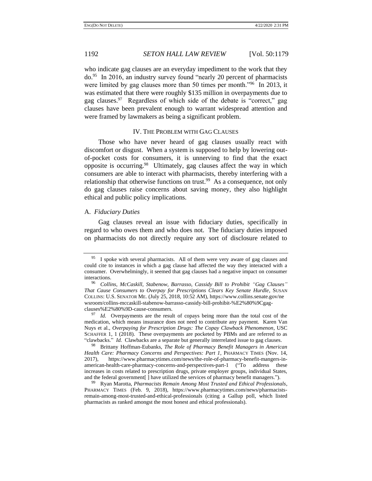who indicate gag clauses are an everyday impediment to the work that they do.<sup>95</sup> In 2016, an industry survey found "nearly 20 percent of pharmacists were limited by gag clauses more than 50 times per month."<sup>96</sup> In 2013, it was estimated that there were roughly \$135 million in overpayments due to gag clauses.<sup>97</sup> Regardless of which side of the debate is "correct," gag clauses have been prevalent enough to warrant widespread attention and were framed by lawmakers as being a significant problem.

### IV. THE PROBLEM WITH GAG CLAUSES

Those who have never heard of gag clauses usually react with discomfort or disgust. When a system is supposed to help by lowering outof-pocket costs for consumers, it is unnerving to find that the exact opposite is occurring.<sup>98</sup> Ultimately, gag clauses affect the way in which consumers are able to interact with pharmacists, thereby interfering with a relationship that otherwise functions on trust.<sup>99</sup> As a consequence, not only do gag clauses raise concerns about saving money, they also highlight ethical and public policy implications.

### A. *Fiduciary Duties*

Gag clauses reveal an issue with fiduciary duties, specifically in regard to who owes them and who does not. The fiduciary duties imposed on pharmacists do not directly require any sort of disclosure related to

<sup>98</sup> Brittany Hoffman-Eubanks, *The Role of Pharmacy Benefit Managers in American Health Care: Pharmacy Concerns and Perspectives: Part 1*, PHARMACY TIMES (Nov. 14, 2017), https://www.pharmacytimes.com/news/the-role-of-pharmacy-benefit-mangers-inamerican-health-care-pharmacy-concerns-and-perspectives-part-1 ("To address these increases in costs related to prescription drugs, private employer groups, individual States, and the federal government[ ] have utilized the services of pharmacy benefit managers.").

<sup>99</sup> Ryan Marotta, *Pharmacists Remain Among Most Trusted and Ethical Professionals*, PHARMACY TIMES (Feb. 9, 2018), https://www.pharmacytimes.com/news/pharmacistsremain-among-most-trusted-and-ethical-professionals (citing a Gallup poll, which listed pharmacists as ranked amongst the most honest and ethical professionals).

 $95$  I spoke with several pharmacists. All of them were very aware of gag clauses and could cite to instances in which a gag clause had affected the way they interacted with a consumer. Overwhelmingly, it seemed that gag clauses had a negative impact on consumer interactions.

<sup>96</sup> *Collins, McCaskill, Stabenow, Barrasso, Cassidy Bill to Prohibit "Gag Clauses" That Cause Consumers to Overpay for Prescriptions Clears Key Senate Hurdle*, SUSAN COLLINS: U.S. SENATOR ME. (July 25, 2018, 10:52 AM), https://www.collins.senate.gov/ne wsroom/collins-mccaskill-stabenow-barrasso-cassidy-bill-prohibit-%E2%80%9Cgagclauses%E2%80%9D-cause-consumers.

<sup>&</sup>lt;sup>97</sup> *Id.* Overpayments are the result of copays being more than the total cost of the medication, which means insurance does not need to contribute any payment. Karen Van Nuys et al., *Overpaying for Prescription Drugs: The Copay Clawback Phenomenon*, USC SCHAFFER 1, 1 (2018). These overpayments are pocketed by PBMs and are referred to as "clawbacks." *Id.* Clawbacks are a separate but generally interrelated issue to gag clauses.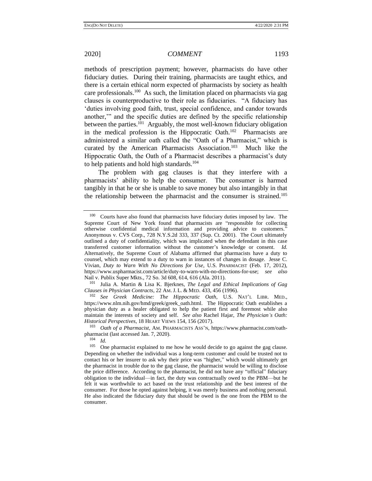methods of prescription payment; however, pharmacists do have other fiduciary duties. During their training, pharmacists are taught ethics, and there is a certain ethical norm expected of pharmacists by society as health care professionals.<sup>100</sup> As such, the limitation placed on pharmacists via gag clauses is counterproductive to their role as fiduciaries. "A fiduciary has 'duties involving good faith, trust, special confidence, and candor towards another,'" and the specific duties are defined by the specific relationship between the parties.<sup>101</sup> Arguably, the most well-known fiduciary obligation in the medical profession is the Hippocratic Oath.<sup>102</sup> Pharmacists are administered a similar oath called the "Oath of a Pharmacist," which is curated by the American Pharmacists Association.<sup>103</sup> Much like the Hippocratic Oath, the Oath of a Pharmacist describes a pharmacist's duty to help patients and hold high standards.<sup>104</sup>

The problem with gag clauses is that they interfere with a pharmacists' ability to help the consumer. The consumer is harmed tangibly in that he or she is unable to save money but also intangibly in that the relationship between the pharmacist and the consumer is strained.<sup>105</sup>

<sup>101</sup> Julia A. Martin & Lisa K. Bjerknes, *The Legal and Ethical Implications of Gag Clauses in Physician Contracts*, 22 AM. J. L. & MED. 433, 456 (1996).

 $100$  Courts have also found that pharmacists have fiduciary duties imposed by law. The Supreme Court of New York found that pharmacists are "responsible for collecting otherwise confidential medical information and providing advice to customers." Anonymous v. CVS Corp., 728 N.Y.S.2d 333, 337 (Sup. Ct. 2001). The Court ultimately outlined a duty of confidentiality, which was implicated when the defendant in this case transferred customer information without the customer's knowledge or consent. *Id.* Alternatively, the Supreme Court of Alabama affirmed that pharmacists have a duty to counsel, which may extend to a duty to warn in instances of changes in dosage. Jesse C. Vivian, *Duty to Warn With No Directions for Use*, U.S. PHARMACIST (Feb. 17, 2012), https://www.uspharmacist.com/article/duty-to-warn-with-no-directions-for-use; *see also* Nail v. Publix Super Mkts., 72 So. 3d 608, 614, 616 (Ala. 2011).

<sup>102</sup> *See Greek Medicine: The Hippocratic Oath*, U.S. NAT'L LIBR. MED., https://www.nlm.nih.gov/hmd/greek/greek\_oath.html. The Hippocratic Oath establishes a physician duty as a healer obligated to help the patient first and foremost while also maintain the interests of society and self. *See also* Rachel Hajar, *The Physician's Oath: Historical Perspectives*, 18 HEART VIEWS 154, 156 (2017).

<sup>103</sup> *Oath of a Pharmacist*, AM. PHARMACISTS ASS'N, https://www.pharmacist.com/oathpharmacist (last accessed Jan. 7, 2020).

 $\frac{104}{105}$  *Id.* 

One pharmacist explained to me how he would decide to go against the gag clause. Depending on whether the individual was a long-term customer and could be trusted not to contact his or her insurer to ask why their price was "higher," which would ultimately get the pharmacist in trouble due to the gag clause, the pharmacist would be willing to disclose the price difference. According to the pharmacist, he did not have any "official" fiduciary obligation to the individual—in fact, the duty was contractually owed to the PBM—but he felt it was worthwhile to act based on the trust relationship and the best interest of the consumer. For those he opted against helping, it was merely business and nothing personal. He also indicated the fiduciary duty that should be owed is the one from the PBM to the consumer.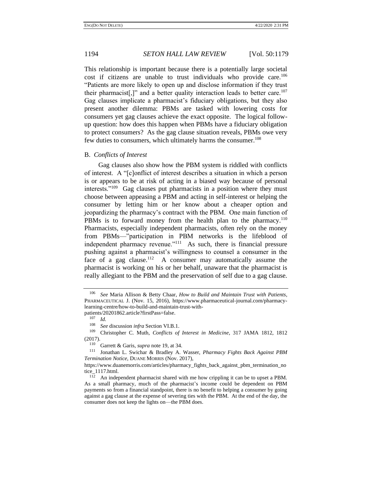This relationship is important because there is a potentially large societal cost if citizens are unable to trust individuals who provide care.<sup>106</sup> "Patients are more likely to open up and disclose information if they trust their pharmacist[,]" and a better quality interaction leads to better care.<sup>107</sup> Gag clauses implicate a pharmacist's fiduciary obligations, but they also present another dilemma: PBMs are tasked with lowering costs for consumers yet gag clauses achieve the exact opposite. The logical followup question: how does this happen when PBMs have a fiduciary obligation to protect consumers? As the gag clause situation reveals, PBMs owe very few duties to consumers, which ultimately harms the consumer.<sup>108</sup>

### B. *Conflicts of Interest*

Gag clauses also show how the PBM system is riddled with conflicts of interest. A "[c]onflict of interest describes a situation in which a person is or appears to be at risk of acting in a biased way because of personal interests."<sup>109</sup> Gag clauses put pharmacists in a position where they must choose between appeasing a PBM and acting in self-interest or helping the consumer by letting him or her know about a cheaper option and jeopardizing the pharmacy's contract with the PBM. One main function of PBMs is to forward money from the health plan to the pharmacy.<sup>110</sup> Pharmacists, especially independent pharmacists, often rely on the money from PBMs—"participation in PBM networks is the lifeblood of independent pharmacy revenue."<sup>111</sup> As such, there is financial pressure pushing against a pharmacist's willingness to counsel a consumer in the face of a gag clause.<sup>112</sup> A consumer may automatically assume the pharmacist is working on his or her behalf, unaware that the pharmacist is really allegiant to the PBM and the preservation of self due to a gag clause.

<span id="page-15-0"></span><sup>106</sup> *See* Maria Allison & Betty Chaar, *How to Build and Maintain Trust with Patients*, PHARMACEUTICAL J. (Nov. 15, 2016), https://www.pharmaceutical-journal.com/pharmacylearning-centre/how-to-build-and-maintain-trust-with-

patients/20201862.article?firstPass=false.

 $\frac{107}{108}$  *Id.* 

<sup>&</sup>lt;sup>108</sup> *See* discussion *infra* Section VI.B.1.<br><sup>109</sup> Christopher C. Muth, Conflicts of

<sup>109</sup> Christopher C. Muth, *Conflicts of Interest in Medicine*, 317 JAMA 1812, 1812  $(2017).$ 

Garrett & Garis, *supra* not[e 19,](#page-3-0) at 34.

<sup>111</sup> Jonathan L. Swichar & Bradley A. Wasser, *Pharmacy Fights Back Against PBM Termination Notice*, DUANE MORRIS (Nov. 2017),

https://www.duanemorris.com/articles/pharmacy\_fights\_back\_against\_pbm\_termination\_no tice\_1117.html.

 $112$  An independent pharmacist shared with me how crippling it can be to upset a PBM. As a small pharmacy, much of the pharmacist's income could be dependent on PBM payments so from a financial standpoint, there is no benefit to helping a consumer by going against a gag clause at the expense of severing ties with the PBM. At the end of the day, the consumer does not keep the lights on—the PBM does.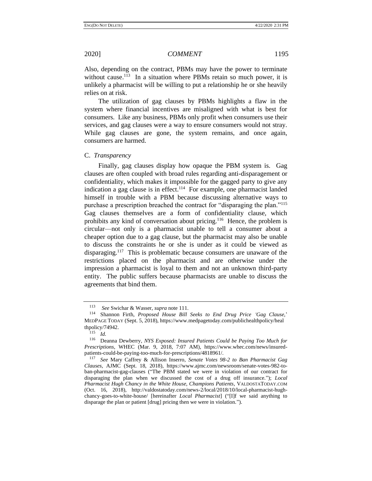Also, depending on the contract, PBMs may have the power to terminate without cause.<sup>113</sup> In a situation where PBMs retain so much power, it is unlikely a pharmacist will be willing to put a relationship he or she heavily relies on at risk.

The utilization of gag clauses by PBMs highlights a flaw in the system where financial incentives are misaligned with what is best for consumers. Like any business, PBMs only profit when consumers use their services, and gag clauses were a way to ensure consumers would not stray. While gag clauses are gone, the system remains, and once again, consumers are harmed.

C. *Transparency*

<span id="page-16-0"></span>Finally, gag clauses display how opaque the PBM system is. Gag clauses are often coupled with broad rules regarding anti-disparagement or confidentiality, which makes it impossible for the gagged party to give any indication a gag clause is in effect.<sup>114</sup> For example, one pharmacist landed himself in trouble with a PBM because discussing alternative ways to purchase a prescription breached the contract for "disparaging the plan."<sup>115</sup> Gag clauses themselves are a form of confidentiality clause, which prohibits any kind of conversation about pricing.<sup>116</sup> Hence, the problem is circular—not only is a pharmacist unable to tell a consumer about a cheaper option due to a gag clause, but the pharmacist may also be unable to discuss the constraints he or she is under as it could be viewed as disparaging.<sup>117</sup> This is problematic because consumers are unaware of the restrictions placed on the pharmacist and are otherwise under the impression a pharmacist is loyal to them and not an unknown third-party entity. The public suffers because pharmacists are unable to discuss the agreements that bind them.

<span id="page-16-1"></span><sup>113</sup> *See* Swichar & Wasser, *supra* not[e 111.](#page-15-0)

<sup>114</sup> Shannon Firth, *Proposed House Bill Seeks to End Drug Price 'Gag Clause,*' MEDPAGE TODAY (Sept. 5, 2018), https://www.medpagetoday.com/publichealthpolicy/heal thpolicy/74942.

<sup>115</sup> *Id.*

<sup>116</sup> Deanna Dewberry, *NYS Exposed: Insured Patients Could be Paying Too Much for Prescriptions*, WHEC (Mar. 9, 2018, 7:07 AM), https://www.whec.com/news/insuredpatients-could-be-paying-too-much-for-prescriptions/4818961/.

<sup>117</sup> *See* Mary Caffrey & Allison Inserro, *Senate Votes 98-2 to Ban Pharmacist Gag Clauses*, AJMC (Sept. 18, 2018), https://www.ajmc.com/newsroom/senate-votes-982-toban-pharmacist-gag-clauses ("The PBM stated we were in violation of our contract for disparaging the plan when we discussed the cost of a drug off insurance."); *Local Pharmacist Hugh Chancy in the White House, Champions Patients*, VALDOSTATODAY.COM (Oct. 16, 2018), http://valdostatoday.com/news-2/local/2018/10/local-pharmacist-hughchancy-goes-to-white-house/ [hereinafter *Local Pharmacist*] ("[I]f we said anything to disparage the plan or patient [drug] pricing then we were in violation.").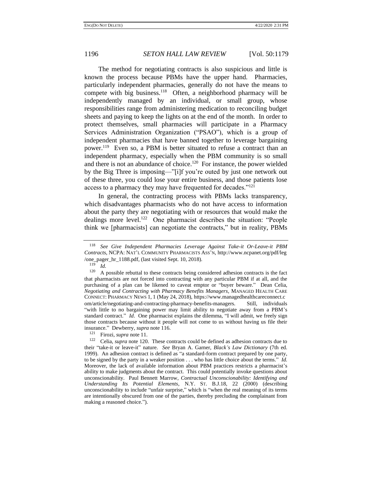The method for negotiating contracts is also suspicious and little is known the process because PBMs have the upper hand. Pharmacies, particularly independent pharmacies, generally do not have the means to compete with big business.<sup>118</sup> Often, a neighborhood pharmacy will be independently managed by an individual, or small group, whose responsibilities range from administering medication to reconciling budget sheets and paying to keep the lights on at the end of the month. In order to protect themselves, small pharmacies will participate in a Pharmacy Services Administration Organization ("PSAO"), which is a group of independent pharmacies that have banned together to leverage bargaining power.<sup>119</sup> Even so, a PBM is better situated to refuse a contract than an independent pharmacy, especially when the PBM community is so small and there is not an abundance of choice.<sup>120</sup> For instance, the power wielded by the Big Three is imposing—"[i]f you're outed by just one network out of these three, you could lose your entire business, and those patients lose access to a pharmacy they may have frequented for decades."<sup>121</sup>

<span id="page-17-0"></span>In general, the contracting process with PBMs lacks transparency, which disadvantages pharmacists who do not have access to information about the party they are negotiating with or resources that would make the dealings more level.<sup>122</sup> One pharmacist describes the situation: "People think we [pharmacists] can negotiate the contracts," but in reality, PBMs

 $\frac{119}{120}$  *Id.* 

<sup>118</sup> *See Give Independent Pharmacies Leverage Against Take-it Or-Leave-it PBM Contracts*, NCPA: NAT'L COMMUNITY PHARMACISTS ASS'N, http://www.ncpanet.org/pdf/leg /one\_pager\_hr\_1188.pdf, (last visited Sept. 10, 2018).

A possible rebuttal to these contracts being considered adhesion contracts is the fact that pharmacists are not forced into contracting with any particular PBM if at all, and the purchasing of a plan can be likened to caveat emptor or "buyer beware." Dean Celia, *Negotiating and Contracting with Pharmacy Benefits Managers*, MANAGED HEALTH CARE CONNECT: PHARMACY NEWS 1, 1 (May 24, 2018), https://www.managedhealthcareconnect.c om/article/negotiating-and-contracting-pharmacy-benefits-managers. Still, individuals "with little to no bargaining power may limit ability to negotiate away from a PBM's standard contract." *Id*. One pharmacist explains the dilemma, "I will admit, we freely sign those contracts because without it people will not come to us without having us file their insurance." Dewberry, *supra* note [116.](#page-16-0)

<sup>121</sup> Firozi, *supra* note [11.](#page-1-0)

<sup>122</sup> Celia, *supra* not[e 120.](#page-17-0) These contracts could be defined as adhesion contracts due to their "take-it or leave-it" nature. *See* Bryan A. Garner, *Black's Law Dictionary* (7th ed. 1999). An adhesion contract is defined as "a standard-form contract prepared by one party, to be signed by the party in a weaker position . . . who has little choice about the terms." *Id.*  Moreover, the lack of available information about PBM practices restricts a pharmacist's ability to make judgments about the contract. This could potentially invoke questions about unconscionability. Paul Bennett Marrow, *Contractual Unconscionability: Identifying and Understanding Its Potential Elements*, N.Y. ST. B.J.18, 22 (2000) (describing unconscionability to include "unfair surprise," which is "when the real meaning of its terms are intentionally obscured from one of the parties, thereby precluding the complainant from making a reasoned choice.").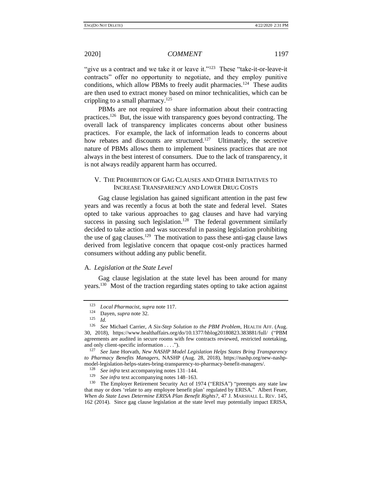"give us a contract and we take it or leave it."<sup>123</sup> These "take-it-or-leave-it contracts" offer no opportunity to negotiate, and they employ punitive conditions, which allow PBMs to freely audit pharmacies.<sup>124</sup> These audits are then used to extract money based on minor technicalities, which can be crippling to a small pharmacy.<sup>125</sup>

PBMs are not required to share information about their contracting practices.<sup>126</sup> But, the issue with transparency goes beyond contracting. The overall lack of transparency implicates concerns about other business practices. For example, the lack of information leads to concerns about how rebates and discounts are structured.<sup>127</sup> Ultimately, the secretive nature of PBMs allows them to implement business practices that are not always in the best interest of consumers. Due to the lack of transparency, it is not always readily apparent harm has occurred.

# V. THE PROHIBITION OF GAG CLAUSES AND OTHER INITIATIVES TO INCREASE TRANSPARENCY AND LOWER DRUG COSTS

Gag clause legislation has gained significant attention in the past few years and was recently a focus at both the state and federal level. States opted to take various approaches to gag clauses and have had varying success in passing such legislation.<sup>128</sup> The federal government similarly decided to take action and was successful in passing legislation prohibiting the use of gag clauses.<sup>129</sup> The motivation to pass these anti-gag clause laws derived from legislative concern that opaque cost-only practices harmed consumers without adding any public benefit.

### A. *Legislation at the State Level*

Gag clause legislation at the state level has been around for many years.<sup>130</sup> Most of the traction regarding states opting to take action against

<sup>123</sup> *Local Pharmacist*, *supra* not[e 117.](#page-16-1)

 $\frac{124}{125}$  Dayen, *supra* not[e 32.](#page-5-1)

 $Id.$ 

<sup>126</sup> *See* Michael Carrier, *A Six-Step Solution to the PBM Problem*, HEALTH AFF. (Aug. 30, 2018), https://www.healthaffairs.org/do/10.1377/hblog20180823.383881/full/ ("PBM agreements are audited in secure rooms with few contracts reviewed, restricted notetaking, and only client-specific information . . . .").

<sup>127</sup> *See* Jane Horvath, *New NASHP Model Legislation Helps States Bring Transparency to Pharmacy Benefits Managers*, NASHP (Aug. 28, 2018), https://nashp.org/new-nashpmodel-legislation-helps-states-bring-transparency-to-pharmacy-benefit-managers/.<br><sup>128</sup> See infra text accompanying potes <sup>131</sup> 144

<sup>&</sup>lt;sup>128</sup> *See infra* text accompanying note[s 131](#page-19-0)[–144.](#page-20-0)

See infra text accompanying note[s 148](#page-21-0)-163.

<sup>&</sup>lt;sup>130</sup> The Employer Retirement Security Act of 1974 ("ERISA") "preempts any state law that may or does 'relate to any employee benefit plan' regulated by ERISA." Albert Feuer, *When do State Laws Determine ERISA Plan Benefit Rights?*, 47 J. MARSHALL L. REV. 145, 162 (2014). Since gag clause legislation at the state level may potentially impact ERISA,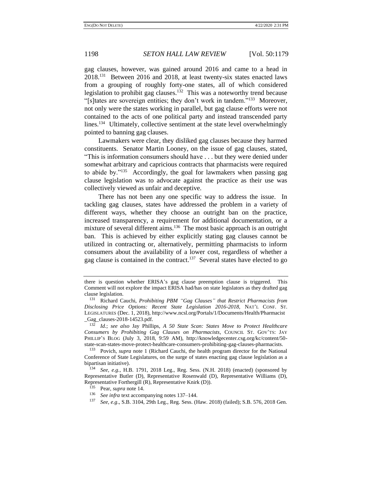<span id="page-19-3"></span><span id="page-19-2"></span><span id="page-19-0"></span>gag clauses, however, was gained around 2016 and came to a head in 2018.<sup>131</sup> Between 2016 and 2018, at least twenty-six states enacted laws from a grouping of roughly forty-one states, all of which considered legislation to prohibit gag clauses.<sup>132</sup> This was a noteworthy trend because "[s]tates are sovereign entities; they don't work in tandem."<sup>133</sup> Moreover, not only were the states working in parallel, but gag clause efforts were not contained to the acts of one political party and instead transcended party lines.<sup>134</sup> Ultimately, collective sentiment at the state level overwhelmingly pointed to banning gag clauses.

Lawmakers were clear, they disliked gag clauses because they harmed constituents. Senator Martin Looney, on the issue of gag clauses, stated, "This is information consumers should have . . . but they were denied under somewhat arbitrary and capricious contracts that pharmacists were required to abide by."<sup>135</sup> Accordingly, the goal for lawmakers when passing gag clause legislation was to advocate against the practice as their use was collectively viewed as unfair and deceptive.

There has not been any one specific way to address the issue. In tackling gag clauses, states have addressed the problem in a variety of different ways, whether they choose an outright ban on the practice, increased transparency, a requirement for additional documentation, or a mixture of several different aims.<sup>136</sup> The most basic approach is an outright ban. This is achieved by either explicitly stating gag clauses cannot be utilized in contracting or, alternatively, permitting pharmacists to inform consumers about the availability of a lower cost, regardless of whether a gag clause is contained in the contract.<sup>137</sup> Several states have elected to go

<span id="page-19-1"></span>there is question whether ERISA's gag clause preemption clause is triggered. This Comment will not explore the impact ERISA had/has on state legislators as they drafted gag clause legislation.

<sup>131</sup> Richard Cauchi, *Prohibiting PBM "Gag Clauses" that Restrict Pharmacists from Disclosing Price Options: Recent State Legislation 2016-2018*, NAT'L CONF. ST. LEGISLATURES (Dec. 1, 2018), http://www.ncsl.org/Portals/1/Documents/Health/Pharmacist \_Gag\_clauses-2018-14523.pdf.

<sup>132</sup> *Id.*; *see also* Jay Phillips, *A 50 State Scan: States Move to Protect Healthcare Consumers by Prohibiting Gag Clauses on Pharmacists*, COUNCIL ST. GOV'TS: JAY PHILLIP'S BLOG (July 3, 2018, 9:59 AM), http://knowledgecenter.csg.org/kc/content/50 state-scan-states-move-protect-healthcare-consumers-prohibiting-gag-clauses-pharmacists.

<sup>133</sup> Povich, *supra* note [1](#page-0-0) (Richard Cauchi, the health program director for the National Conference of State Legislatures, on the surge of states enacting gag clause legislation as a bipartisan initiative).

See, e.g., H.B. 1791, 2018 Leg., Reg. Sess. (N.H. 2018) (enacted) (sponsored by Representative Butler (D), Representative Rosenwald (D), Representative Williams (D), Representative Forthergill (R), Representative Knirk (D)).

<sup>135</sup> Pear, *supra* not[e 14.](#page-2-0)

<sup>&</sup>lt;sup>136</sup> *See infra* text accompanying note[s 137](#page-19-1)[–144.](#page-20-0)

<sup>137</sup> *See, e.g*., S.B. 3104, 29th Leg., Reg. Sess. (Haw. 2018) (failed); S.B. 576, 2018 Gen.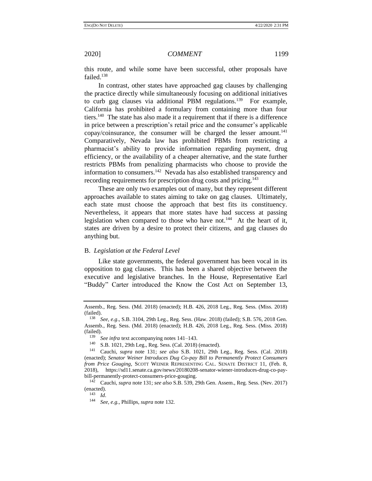<span id="page-20-2"></span><span id="page-20-1"></span>

this route, and while some have been successful, other proposals have failed.<sup>138</sup>

In contrast, other states have approached gag clauses by challenging the practice directly while simultaneously focusing on additional initiatives to curb gag clauses via additional PBM regulations.<sup>139</sup> For example, California has prohibited a formulary from containing more than four tiers.<sup>140</sup> The state has also made it a requirement that if there is a difference in price between a prescription's retail price and the consumer's applicable copay/coinsurance, the consumer will be charged the lesser amount.<sup>141</sup> Comparatively, Nevada law has prohibited PBMs from restricting a pharmacist's ability to provide information regarding payment, drug efficiency, or the availability of a cheaper alternative, and the state further restricts PBMs from penalizing pharmacists who choose to provide the information to consumers.<sup>142</sup> Nevada has also established transparency and recording requirements for prescription drug costs and pricing.<sup>143</sup>

These are only two examples out of many, but they represent different approaches available to states aiming to take on gag clauses. Ultimately, each state must choose the approach that best fits its constituency. Nevertheless, it appears that more states have had success at passing legislation when compared to those who have not.<sup>144</sup> At the heart of it, states are driven by a desire to protect their citizens, and gag clauses do anything but.

### <span id="page-20-0"></span>B. *Legislation at the Federal Level*

Like state governments, the federal government has been vocal in its opposition to gag clauses. This has been a shared objective between the executive and legislative branches. In the House, Representative Earl "Buddy" Carter introduced the Know the Cost Act on September 13,

<sup>143</sup> *Id*.

Assemb., Reg. Sess. (Md. 2018) (enacted); H.B. 426, 2018 Leg., Reg. Sess. (Miss. 2018) (failed).

<sup>138</sup> *See, e.g*., S.B. 3104, 29th Leg., Reg. Sess. (Haw. 2018) (failed); S.B. 576, 2018 Gen. Assemb., Reg. Sess. (Md. 2018) (enacted); H.B. 426, 2018 Leg., Reg. Sess. (Miss. 2018)  $(failed)$ .

<sup>&</sup>lt;sup>139</sup> *See infra* text accompanying note[s 141](#page-20-1)[–143.](#page-20-2)

<sup>&</sup>lt;sup>140</sup> S.B. 1021, 29th Leg., Reg. Sess. (Cal. 2018) (enacted).<br><sup>141</sup> Caughi, sunga pata 131; see glas S.B. 1021, 20th

<sup>141</sup> Cauchi, *supra* note [131;](#page-19-2) *see also* S.B. 1021, 29th Leg., Reg. Sess. (Cal. 2018) (enacted); *Senator Weiner Introduces Dug Co-pay Bill to Permanently Protect Consumers from Price Gouging*, SCOTT WEINER REPRESENTING CAL. SENATE DISTRICT 11, (Feb. 8, 2018), https://sd11.senate.ca.gov/news/20180208-senator-wiener-introduces-drug-co-paybill-permanently-protect-consumers-price-gouging.<br> $^{142}$  Caughi sung note 131; see also S B 530.2

<sup>142</sup> Cauchi, *supra* note [131;](#page-19-2) *see also* S.B. 539, 29th Gen. Assem., Reg. Sess. (Nev. 2017) (enacted).

<sup>144</sup> *See, e.g.*, Phillips, *supra* not[e 132.](#page-19-3)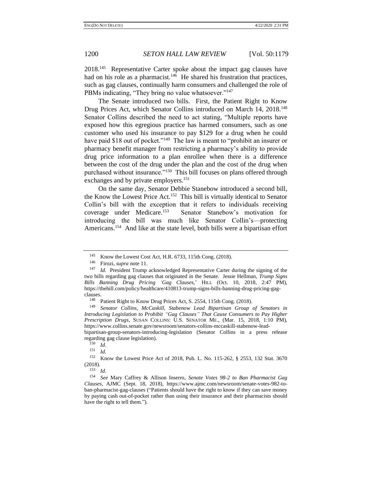2018.<sup>145</sup> Representative Carter spoke about the impact gag clauses have had on his role as a pharmacist.<sup>146</sup> He shared his frustration that practices, such as gag clauses, continually harm consumers and challenged the role of PBMs indicating, "They bring no value whatsoever."<sup>147</sup>

<span id="page-21-0"></span>The Senate introduced two bills. First, the Patient Right to Know Drug Prices Act, which Senator Collins introduced on March 14, 2018.<sup>148</sup> Senator Collins described the need to act stating, "Multiple reports have exposed how this egregious practice has harmed consumers, such as one customer who used his insurance to pay \$129 for a drug when he could have paid \$18 out of pocket."<sup>149</sup> The law is meant to "prohibit an insurer or pharmacy benefit manager from restricting a pharmacy's ability to provide drug price information to a plan enrollee when there is a difference between the cost of the drug under the plan and the cost of the drug when purchased without insurance."<sup>150</sup> This bill focuses on plans offered through exchanges and by private employers.<sup>151</sup>

On the same day, Senator Debbie Stanebow introduced a second bill, the Know the Lowest Price Act.<sup>152</sup> This bill is virtually identical to Senator Collin's bill with the exception that it refers to individuals receiving coverage under Medicare.<sup>153</sup> Senator Stanebow's motivation for introducing the bill was much like Senator Collin's—protecting Americans.<sup>154</sup> And like at the state level, both bills were a bipartisan effort

<sup>&</sup>lt;sup>145</sup> Know the Lowest Cost Act, H.R. 6733, 115th Cong. (2018).<br><sup>146</sup> Eirozi *sung* note 11

Firozi, *supra* note [11.](#page-1-0)

<sup>147</sup> *Id.* President Trump acknowledged Representative Carter during the signing of the two bills regarding gag clauses that originated in the Senate. Jessie Hellman, *Trump Signs Bills Banning Drug Pricing 'Gag Clauses*,' HILL (Oct. 10, 2018, 2:47 PM), https://thehill.com/policy/healthcare/410813-trump-signs-bills-banning-drug-pricing-gagclauses.

<sup>&</sup>lt;sup>148</sup> Patient Right to Know Drug Prices Act, S. 2554, 115th Cong. (2018).<br><sup>149</sup> Sangtor, Collins, McCashill, Stabanow, Lead, Binartisan, Group.

<sup>149</sup> *Senator Collins, McCaskill, Stabenow Lead Bipartisan Group of Senators in Introducing Legislation to Prohibit "Gag Clauses" That Cause Consumers to Pay Higher Prescription Drugs*, SUSAN COLLINS: U.S. SENATOR ME., (Mar. 15, 2018, 1:10 PM), https://www.collins.senate.gov/newsroom/senators-collins-mccaskill-stabenow-leadbipartisan-group-senators-introducing-legislation (Senator Collins in a press release

regarding gag clause legislation).

 $\frac{150}{151}$  *Id.* 

 $\frac{151}{152}$  *Id.* 

<sup>152</sup> Know the Lowest Price Act of 2018, Pub. L. No. 115-262, § 2553, 132 Stat. 3670  $(2018).$ 

<sup>153</sup> *Id.*

<sup>154</sup> *See* Mary Caffrey & Allison Inserro, *Senate Votes 98-2 to Ban Pharmacist Gag Clauses*, AJMC (Sept. 18, 2018), https://www.ajmc.com/newsroom/senate-votes-982-toban-pharmacist-gag-clauses ("Patients should have the right to know if they can save money by paying cash out-of-pocket rather than using their insurance and their pharmacists should have the right to tell them.").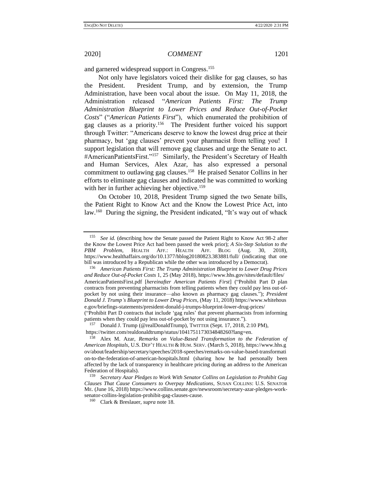and garnered widespread support in Congress.<sup>155</sup>

<span id="page-22-0"></span>Not only have legislators voiced their dislike for gag clauses, so has the President. President Trump, and by extension, the Trump Administration, have been vocal about the issue. On May 11, 2018, the Administration released "*American Patients First: The Trump Administration Blueprint to Lower Prices and Reduce Out-of-Pocket Costs*" ("*American Patients First*"), which enumerated the prohibition of gag clauses as a priority.<sup>156</sup> The President further voiced his support through Twitter: "Americans deserve to know the lowest drug price at their pharmacy, but 'gag clauses' prevent your pharmacist from telling you! I support legislation that will remove gag clauses and urge the Senate to act. #AmericanPatientsFirst."<sup>157</sup> Similarly, the President's Secretary of Health and Human Services, Alex Azar, has also expressed a personal commitment to outlawing gag clauses.<sup>158</sup> He praised Senator Collins in her efforts to eliminate gag clauses and indicated he was committed to working with her in further achieving her objective.<sup>159</sup>

On October 10, 2018, President Trump signed the two Senate bills, the Patient Right to Know Act and the Know the Lowest Price Act, into law.<sup>160</sup> During the signing, the President indicated, "It's way out of whack

<sup>155</sup> *See id.* (describing how the Senate passed the Patient Right to Know Act 98-2 after the Know the Lowest Price Act had been passed the week prior); *A Six-Step Solution to the PBM Problem*, HEALTH AFF.: HEALTH AFF. BLOG (Aug. 30, 2018), https://www.healthaffairs.org/do/10.1377/hblog20180823.383881/full/ (indicating that one bill was introduced by a Republican while the other was introduced by a Democrat).

<sup>156</sup> *American Patients First: The Trump Administration Blueprint to Lower Drug Prices and Reduce Out-of-Pocket Costs* 1, 25 (May 2018), https://www.hhs.gov/sites/default/files/ AmericanPatientsFirst.pdf [*hereinafter American Patients First*] ("Prohibit Part D plan contracts from preventing pharmacists from telling patients when they could pay less out-ofpocket by not using their insurance—also known as pharmacy gag clauses."); *President Donald J. Trump's Blueprint to Lower Drug Prices*, (May 11, 2018) https://www.whitehous e.gov/briefings-statements/president-donald-j-trumps-blueprint-lower-drug-prices/ ("Prohibit Part D contracts that include 'gag rules' that prevent pharmacists from informing patients when they could pay less out-of-pocket by not using insurance.").

<sup>&</sup>lt;sup>157</sup> Donald J. Trump (@realDonaldTrump), TWITTER (Sept. 17, 2018, 2:10 PM),

https://twitter.com/realdonaldtrump/status/1041751173034848260?lang=en.

<sup>158</sup> Alex M. Azar, *Remarks on Value-Based Transformation to the Federation of American Hospitals*, U.S. DEP'T HEALTH & HUM. SERV. (March 5, 2018), https://www.hhs.g ov/about/leadership/secretary/speeches/2018-speeches/remarks-on-value-based-transformati on-to-the-federation-of-american-hospitals.html (sharing how he had personally been affected by the lack of transparency in healthcare pricing during an address to the American Federation of Hospitals).

<sup>159</sup> *Secretary Azar Pledges to Work With Senator Collins on Legislation to Prohibit Gag Clauses That Cause Consumers to Overpay Medications*, SUSAN COLLINS: U.S. SENATOR ME. (June 16, 2018) https://www.collins.senate.gov/newsroom/secretary-azar-pledges-worksenator-collins-legislation-prohibit-gag-clauses-cause.

<sup>160</sup> Clark & Breslauer, *supra* not[e 18.](#page-2-1)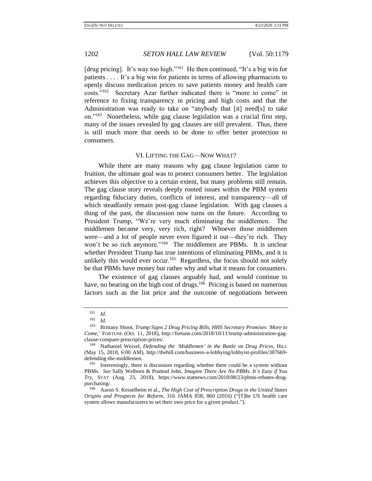<span id="page-23-0"></span>[drug pricing]. It's way too high."<sup>161</sup> He then continued, "It's a big win for patients . . . . It's a big win for patients in terms of allowing pharmacists to openly discuss medication prices to save patients money and health care costs."<sup>162</sup> Secretary Azar further indicated there is "more to come" in reference to fixing transparency in pricing and high costs and that the Administration was ready to take on "anybody that [it] need[s] to take on."<sup>163</sup> Nonetheless, while gag clause legislation was a crucial first step, many of the issues revealed by gag clauses are still prevalent. Thus, there is still much more that needs to be done to offer better protection to consumers.

### VI. LIFTING THE GAG—NOW WHAT?

While there are many reasons why gag clause legislation came to fruition, the ultimate goal was to protect consumers better. The legislation achieves this objective to a certain extent, but many problems still remain. The gag clause story reveals deeply rooted issues within the PBM system regarding fiduciary duties, conflicts of interest, and transparency—all of which steadfastly remain post-gag clause legislation. With gag clauses a thing of the past, the discussion now turns on the future. According to President Trump, "We're very much eliminating the middlemen. The middlemen became very, very rich, right? Whoever those middlemen were—and a lot of people never even figured it out—they're rich. They won't be so rich anymore."<sup>164</sup> The middlemen are PBMs. It is unclear whether President Trump has true intentions of eliminating PBMs, and it is unlikely this would ever occur.<sup>165</sup> Regardless, the focus should not solely be that PBMs have money but rather why and what it means for consumers.

The existence of gag clauses arguably had, and would continue to have, no bearing on the high cost of drugs.<sup>166</sup> Pricing is based on numerous factors such as the list price and the outcome of negotiations between

 $\frac{161}{162}$  *Id.* 

 $\frac{162}{163}$  *Id.* 

<sup>163</sup> Brittany Shoot, *Trump Signs 2 Drug Pricing Bills, HHS Secretary Promises 'More to Come*,' FORTUNE (Oct. 11, 2018), http://fortune.com/2018/10/11/trump-administration-gagclause-compare-prescription-prices/.

<sup>164</sup> Nathaniel Weixel, *Defending the 'Middlemen' in the Battle on Drug Prices*, HILL (May 15, 2018, 6:00 AM), http://thehill.com/business-a-lobbying/lobbyist-profiles/387669 defending-the-middlemen.

<sup>&</sup>lt;sup>165</sup> Interestingly, there is discussion regarding whether there could be a system without PBMs. *See* Sally Welborn & Pramod John, *Imagine There Are No PBMs. It's Easy if You Try*, STAT (Aug. 23, 2018), https://www.statnews.com/2018/08/23/pbms-rebates-drugpurchasing/.

<sup>166</sup> Aaron S. Kesselheim et al., *The High Cost of Prescription Drugs in the United States Origins and Prospects for Reform*, 316 JAMA 858, 860 (2016) ("[T]he US health care system allows manufacturers to set their own price for a given product.").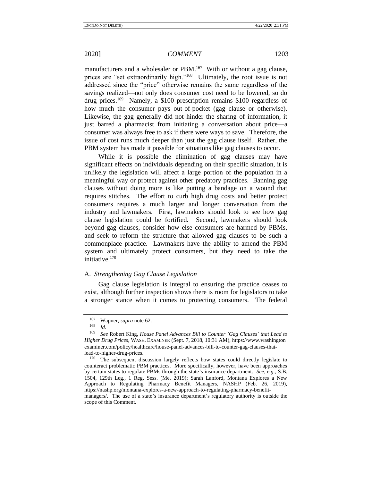manufacturers and a wholesaler or PBM.<sup>167</sup> With or without a gag clause, prices are "set extraordinarily high."<sup>168</sup> Ultimately, the root issue is not addressed since the "price" otherwise remains the same regardless of the savings realized—not only does consumer cost need to be lowered, so do drug prices.<sup>169</sup> Namely, a \$100 prescription remains \$100 regardless of how much the consumer pays out-of-pocket (gag clause or otherwise). Likewise, the gag generally did not hinder the sharing of information, it just barred a pharmacist from initiating a conversation about price—a consumer was always free to ask if there were ways to save. Therefore, the issue of cost runs much deeper than just the gag clause itself. Rather, the PBM system has made it possible for situations like gag clauses to occur.

While it is possible the elimination of gag clauses may have significant effects on individuals depending on their specific situation, it is unlikely the legislation will affect a large portion of the population in a meaningful way or protect against other predatory practices. Banning gag clauses without doing more is like putting a bandage on a wound that requires stitches. The effort to curb high drug costs and better protect consumers requires a much larger and longer conversation from the industry and lawmakers. First, lawmakers should look to see how gag clause legislation could be fortified. Second, lawmakers should look beyond gag clauses, consider how else consumers are harmed by PBMs, and seek to reform the structure that allowed gag clauses to be such a commonplace practice. Lawmakers have the ability to amend the PBM system and ultimately protect consumers, but they need to take the initiative.<sup>170</sup>

## A. *Strengthening Gag Clause Legislation*

Gag clause legislation is integral to ensuring the practice ceases to exist, although further inspection shows there is room for legislators to take a stronger stance when it comes to protecting consumers. The federal

<sup>&</sup>lt;sup>167</sup> Wapner, *supra* not[e 62.](#page-8-0)<br> $^{168}$  *L* 

*Id.* 

<sup>169</sup> *See* Robert King, *House Panel Advances Bill to Counter 'Gag Clauses' that Lead to Higher Drug Prices*, WASH. EXAMINER (Sept. 7, 2018, 10:31 AM), https://www.washington examiner.com/policy/healthcare/house-panel-advances-bill-to-counter-gag-clauses-thatlead-to-higher-drug-prices.

<sup>&</sup>lt;sup>170</sup> The subsequent discussion largely reflects how states could directly legislate to counteract problematic PBM practices. More specifically, however, have been approaches by certain states to regulate PBMs through the state's insurance department. *See, e.g.*, S.B. 1504, 129th Leg., 1 Reg. Sess. (Me. 2019); Sarah Lanford, Montana Explores a New Approach to Regulating Pharmacy Benefit Managers, NASHP (Feb. 26, 2019), https://nashp.org/montana-explores-a-new-approach-to-regulating-pharmacy-benefitmanagers/. The use of a state's insurance department's regulatory authority is outside the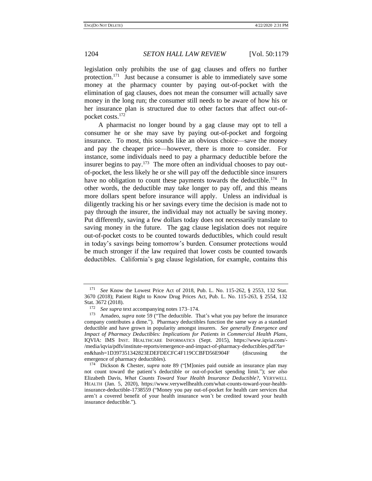legislation only prohibits the use of gag clauses and offers no further protection.<sup>171</sup> Just because a consumer is able to immediately save some money at the pharmacy counter by paying out-of-pocket with the elimination of gag clauses, does not mean the consumer will actually save money in the long run; the consumer still needs to be aware of how his or her insurance plan is structured due to other factors that affect out-ofpocket costs.<sup>172</sup>

<span id="page-25-1"></span><span id="page-25-0"></span>A pharmacist no longer bound by a gag clause may opt to tell a consumer he or she may save by paying out-of-pocket and forgoing insurance. To most, this sounds like an obvious choice—save the money and pay the cheaper price—however, there is more to consider. For instance, some individuals need to pay a pharmacy deductible before the insurer begins to pay.<sup>173</sup> The more often an individual chooses to pay outof-pocket, the less likely he or she will pay off the deductible since insurers have no obligation to count these payments towards the deductible.<sup>174</sup> In other words, the deductible may take longer to pay off, and this means more dollars spent before insurance will apply. Unless an individual is diligently tracking his or her savings every time the decision is made not to pay through the insurer, the individual may not actually be saving money. Put differently, saving a few dollars today does not necessarily translate to saving money in the future. The gag clause legislation does not require out-of-pocket costs to be counted towards deductibles, which could result in today's savings being tomorrow's burden. Consumer protections would be much stronger if the law required that lower costs be counted towards deductibles. California's gag clause legislation, for example, contains this

<sup>171</sup> *See* Know the Lowest Price Act of 2018, Pub. L. No. 115-262, § 2553, 132 Stat. 3670 (2018); Patient Right to Know Drug Prices Act, Pub. L. No. 115-263, § 2554, 132 Stat. 3672 (2018).

<sup>172</sup> *See supra* text accompanying note[s 173](#page-25-0)[–174.](#page-25-1)

<sup>&</sup>lt;sup>173</sup> Amadeo, *supra* note [59](#page-8-2) ("The deductible. That's what you pay before the insurance company contributes a dime."). Pharmacy deductibles function the same way as a standard deductible and have grown in popularity amongst insurers. *See generally Emergence and Impact of Pharmacy Deductibles: Implications for Patients in Commercial Health Plans*, IQVIA: IMS INST. HEALTHCARE INFORMATICS (Sept. 2015), https://www.iqvia.com/- /media/iqvia/pdfs/institute-reports/emergence-and-impact-of-pharmacy-deductibles.pdf?la= en&hash=1D397351342823EDEFDECFC4F119CCBFD56E904F (discussing emergence of pharmacy deductibles).

<sup>174</sup> Dickson & Chester, *supra* note [89](#page-12-0) ("[M]onies paid outside an insurance plan may not count toward the patient's deductible or out-of-pocket spending limit."); *see also* Elizabeth Davis, *What Counts Toward Your Health Insurance Deductible?*, VERYWELL HEALTH (Jan. 5, 2020), https://www.verywellhealth.com/what-counts-toward-your-healthinsurance-deductible-1738559 ("Money you pay out-of-pocket for health care services that aren't a covered benefit of your health insurance won't be credited toward your health insurance deductible.").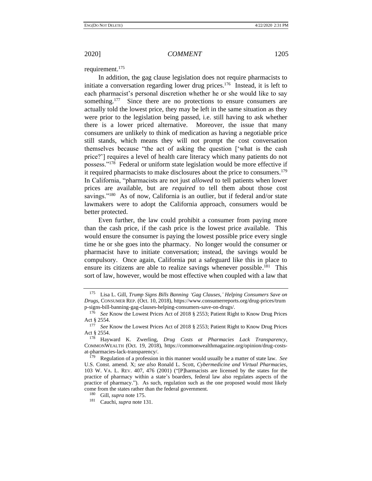<span id="page-26-0"></span>requirement.<sup>175</sup>

In addition, the gag clause legislation does not require pharmacists to initiate a conversation regarding lower drug prices.<sup>176</sup> Instead, it is left to each pharmacist's personal discretion whether he or she would like to say something.<sup>177</sup> Since there are no protections to ensure consumers are actually told the lowest price, they may be left in the same situation as they were prior to the legislation being passed, i.e. still having to ask whether there is a lower priced alternative. Moreover, the issue that many consumers are unlikely to think of medication as having a negotiable price still stands, which means they will not prompt the cost conversation themselves because "the act of asking the question ['what is the cash price?'] requires a level of health care literacy which many patients do not possess."<sup>178</sup> Federal or uniform state legislation would be more effective if it required pharmacists to make disclosures about the price to consumers.<sup>179</sup> In California, "pharmacists are not just *allowed* to tell patients when lower prices are available, but are *required* to tell them about those cost savings."<sup>180</sup> As of now, California is an outlier, but if federal and/or state lawmakers were to adopt the California approach, consumers would be better protected.

Even further, the law could prohibit a consumer from paying more than the cash price, if the cash price is the lowest price available. This would ensure the consumer is paying the lowest possible price every single time he or she goes into the pharmacy. No longer would the consumer or pharmacist have to initiate conversation; instead, the savings would be compulsory. Once again, California put a safeguard like this in place to ensure its citizens are able to realize savings whenever possible.<sup>181</sup> This sort of law, however, would be most effective when coupled with a law that

<sup>175</sup> Lisa L. Gill, *Trump Signs Bills Banning 'Gag Clauses,' Helping Consumers Save on Drugs*, CONSUMER REP. (Oct. 10, 2018), https://www.consumerreports.org/drug-prices/trum p-signs-bill-banning-gag-clauses-helping-consumers-save-on-drugs/.

<sup>176</sup> *See* Know the Lowest Prices Act of 2018 § 2553; Patient Right to Know Drug Prices Act § 2554.

<sup>177</sup> *See* Know the Lowest Prices Act of 2018 § 2553; Patient Right to Know Drug Prices Act § 2554.

<sup>178</sup> Hayward K. Zwerling, *Drug Costs at Pharmacies Lack Transparency*, COMMONWEALTH (Oct. 19, 2018), https://commonwealthmagazine.org/opinion/drug-costsat-pharmacies-lack-transparency/.

<sup>179</sup> Regulation of a profession in this manner would usually be a matter of state law. *See* U.S. Const. amend. X; *see also* Ronald L. Scott, *Cybermedicine and Virtual Pharmacies*, 103 W. VA. L. REV. 407, 476 (2001) ("[P]harmacists are licensed by the states for the practice of pharmacy within a state's boarders, federal law also regulates aspects of the practice of pharmacy."). As such, regulation such as the one proposed would most likely come from the states rather than the federal government.

Gill, *supra* not[e 175.](#page-26-0)

<sup>181</sup> Cauchi, *supra* not[e 131.](#page-19-2)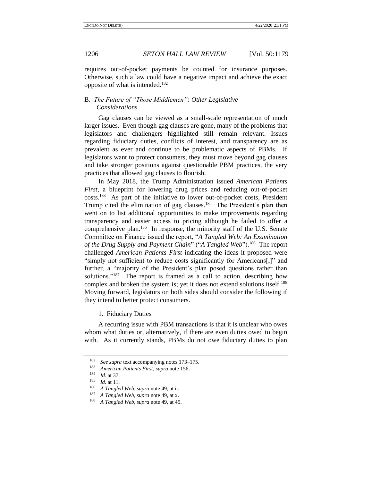requires out-of-pocket payments be counted for insurance purposes. Otherwise, such a law could have a negative impact and achieve the exact opposite of what is intended.<sup>182</sup>

# B. *The Future of "Those Middlemen": Other Legislative Considerations*

Gag clauses can be viewed as a small-scale representation of much larger issues. Even though gag clauses are gone, many of the problems that legislators and challengers highlighted still remain relevant. Issues regarding fiduciary duties, conflicts of interest, and transparency are as prevalent as ever and continue to be problematic aspects of PBMs. If legislators want to protect consumers, they must move beyond gag clauses and take stronger positions against questionable PBM practices, the very practices that allowed gag clauses to flourish.

In May 2018, the Trump Administration issued *American Patients First*, a blueprint for lowering drug prices and reducing out-of-pocket costs.<sup>183</sup> As part of the initiative to lower out-of-pocket costs, President Trump cited the elimination of gag clauses.<sup>184</sup> The President's plan then went on to list additional opportunities to make improvements regarding transparency and easier access to pricing although he failed to offer a comprehensive plan.<sup>185</sup> In response, the minority staff of the U.S. Senate Committee on Finance issued the report, "*A Tangled Web: An Examination*  of the Drug Supply and Payment Chain" ("A Tangled Web").<sup>186</sup> The report challenged *American Patients First* indicating the ideas it proposed were "simply not sufficient to reduce costs significantly for Americans[,]" and further, a "majority of the President's plan posed questions rather than solutions."<sup>187</sup> The report is framed as a call to action, describing how complex and broken the system is; yet it does not extend solutions itself.<sup>188</sup> Moving forward, legislators on both sides should consider the following if they intend to better protect consumers.

1. Fiduciary Duties

A recurring issue with PBM transactions is that it is unclear who owes whom what duties or, alternatively, if there are even duties owed to begin with. As it currently stands, PBMs do not owe fiduciary duties to plan

<sup>182</sup> *See supra* text accompanying note[s 173](#page-25-0)[–175.](#page-26-0)

<sup>183</sup> *American Patients First*, *supra* not[e 156.](#page-22-0)

 $\frac{184}{185}$  *Id.* at 37.

 $\frac{185}{186}$  *Id.* at 11.

<sup>186</sup> *A Tangled Web, supra* not[e 49,](#page-6-1) at ii.

<sup>187</sup> *A Tangled Web, supra* not[e 49,](#page-6-1) at x.

<sup>188</sup> *A Tangled Web, supra* not[e 49,](#page-6-1) at 45.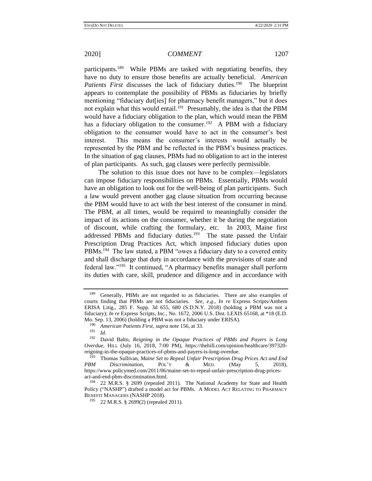participants.<sup>189</sup> While PBMs are tasked with negotiating benefits, they have no duty to ensure those benefits are actually beneficial. *American*  Patients First discusses the lack of fiduciary duties.<sup>190</sup> The blueprint appears to contemplate the possibility of PBMs as fiduciaries by briefly mentioning "fiduciary dut[ies] for pharmacy benefit managers," but it does not explain what this would entail.<sup>191</sup> Presumably, the idea is that the PBM would have a fiduciary obligation to the plan, which would mean the PBM has a fiduciary obligation to the consumer.<sup>192</sup> A PBM with a fiduciary obligation to the consumer would have to act in the consumer's best interest. This means the consumer's interests would actually be represented by the PBM and be reflected in the PBM's business practices. In the situation of gag clauses, PBMs had no obligation to act in the interest of plan participants. As such, gag clauses were perfectly permissible.

The solution to this issue does not have to be complex—legislators can impose fiduciary responsibilities on PBMs. Essentially, PBMs would have an obligation to look out for the well-being of plan participants. Such a law would prevent another gag clause situation from occurring because the PBM would have to act with the best interest of the consumer in mind. The PBM, at all times, would be required to meaningfully consider the impact of its actions on the consumer, whether it be during the negotiation of discount, while crafting the formulary, etc. In 2003, Maine first addressed PBMs and fiduciary duties.<sup>193</sup> The state passed the Unfair Prescription Drug Practices Act, which imposed fiduciary duties upon PBMs.<sup>194</sup> The law stated, a PBM "owes a fiduciary duty to a covered entity and shall discharge that duty in accordance with the provisions of state and federal law."<sup>195</sup> It continued, "A pharmacy benefits manager shall perform its duties with care, skill, prudence and diligence and in accordance with

<span id="page-28-1"></span><span id="page-28-0"></span><sup>189</sup> Generally, PBMs are not regarded to as fiduciaries. There are also examples of courts finding that PBMs are not fiduciaries. *See, e.g*., *In re* Express Scripts/Anthem ERISA Litig., 285 F. Supp. 3d 655, 680 (S.D.N.Y. 2018) (holding a PBM was not a fiduciary); *In re* Express Scripts, Inc., No. 1672, 2006 U.S. Dist. LEXIS 65168, at \*18 (E.D. Mo. Sep. 13, 2006) (holding a PBM was not a fiduciary under ERISA).

<sup>190</sup> *American Patients First*, *supra* not[e 156,](#page-22-0) at 33.

<sup>191</sup> *Id.*

<sup>192</sup> David Balto, *Reigning in the Opaque Practices of PBMs and Payers is Long Overdue*, HILL (July 16, 2018, 7:00 PM), https://thehill.com/opinion/healthcare/397320 reigning-in-the-opaque-practices-of-pbms-and-payers-is-long-overdue.<br><sup>193</sup> Thomas Sullivan, Maine Set to Peneal Unfair Prescription Drug

<sup>193</sup> Thomas Sullivan, *Maine Set to Repeal Unfair Prescription Drug Prices Act and End PBM Discrimination*, POL'Y & MED. (May 5, 2018), https://www.policymed.com/2011/06/maine-set-to-repeal-unfair-prescription-drug-pricesact-and-end-pbm-discrimination.html.

<sup>&</sup>lt;sup>194</sup> 22 M.R.S. § 2699 (repealed 2011). The National Academy for State and Health Policy ("NASHP") drafted a model act for PBMs. A MODEL ACT RELATING TO PHARMACY BENEFIT MANAGERS (NASHP 2018).

<sup>195</sup> 22 M.R.S. § 2699(2) (repealed 2011).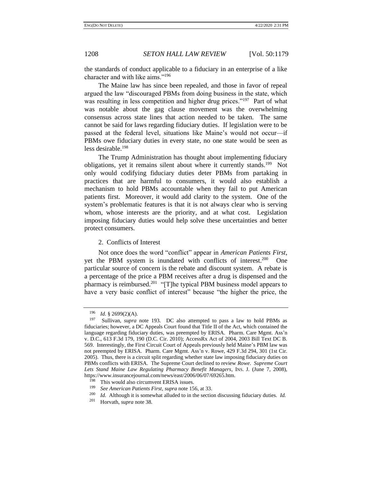the standards of conduct applicable to a fiduciary in an enterprise of a like character and with like aims."<sup>196</sup>

The Maine law has since been repealed, and those in favor of repeal argued the law "discouraged PBMs from doing business in the state, which was resulting in less competition and higher drug prices."<sup>197</sup> Part of what was notable about the gag clause movement was the overwhelming consensus across state lines that action needed to be taken. The same cannot be said for laws regarding fiduciary duties. If legislation were to be passed at the federal level, situations like Maine's would not occur—if PBMs owe fiduciary duties in every state, no one state would be seen as less desirable.<sup>198</sup>

The Trump Administration has thought about implementing fiduciary obligations, yet it remains silent about where it currently stands.<sup>199</sup> Not only would codifying fiduciary duties deter PBMs from partaking in practices that are harmful to consumers, it would also establish a mechanism to hold PBMs accountable when they fail to put American patients first. Moreover, it would add clarity to the system. One of the system's problematic features is that it is not always clear who is serving whom, whose interests are the priority, and at what cost. Legislation imposing fiduciary duties would help solve these uncertainties and better protect consumers.

2. Conflicts of Interest

Not once does the word "conflict" appear in *American Patients First*, yet the PBM system is inundated with conflicts of interest.<sup>200</sup> One particular source of concern is the rebate and discount system. A rebate is a percentage of the price a PBM receives after a drug is dispensed and the pharmacy is reimbursed.<sup>201</sup> "[T]he typical PBM business model appears to have a very basic conflict of interest" because "the higher the price, the

<sup>196</sup> *Id.* § 2699(2)(A).

<sup>197</sup> Sullivan, *supra* note [193.](#page-28-0) DC also attempted to pass a law to hold PBMs as fiduciaries; however, a DC Appeals Court found that Title II of the Act, which contained the language regarding fiduciary duties, was preempted by ERISA. Pharm. Care Mgmt. Ass'n v. D.C., 613 F.3d 179, 190 (D.C. Cir. 2010); AccessRx Act of 2004, 2003 Bill Text DC B. 569. Interestingly, the First Circuit Court of Appeals previously held Maine's PBM law was not preempted by ERISA. Pharm. Care Mgmt. Ass'n v. Rowe, 429 F.3d 294, 301 (1st Cir. 2005). Thus, there is a circuit split regarding whether state law imposing fiduciary duties on PBMs conflicts with ERISA. The Supreme Court declined to review *Rowe*. *Supreme Court Lets Stand Maine Law Regulating Pharmacy Benefit Managers*, INS. J. (June 7, 2008), https://www.insurancejournal.com/news/east/2006/06/07/69265.htm.

<sup>&</sup>lt;sup>198</sup> This would also circumvent ERISA issues.<br><sup>199</sup> See American Patients First, sung note 15

<sup>199</sup> *See American Patients First*, *supra* not[e 156,](#page-22-0) at 33.

<sup>&</sup>lt;sup>200</sup> *Id.* Although it is somewhat alluded to in the section discussing fiduciary duties. *Id.*  $^{201}$  Horvath sunga pote 38

Horvath, *supra* not[e 38.](#page-5-2)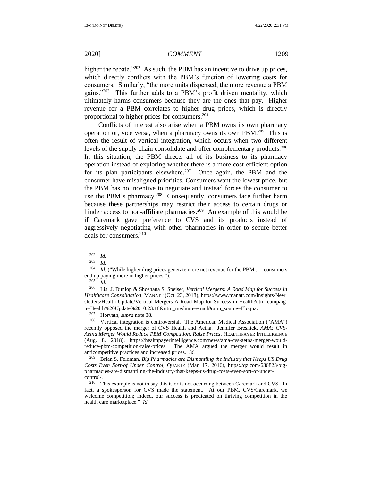higher the rebate."<sup>202</sup> As such, the PBM has an incentive to drive up prices, which directly conflicts with the PBM's function of lowering costs for consumers. Similarly, "the more units dispensed, the more revenue a PBM gains."<sup>203</sup> This further adds to a PBM's profit driven mentality, which ultimately harms consumers because they are the ones that pay. Higher revenue for a PBM correlates to higher drug prices, which is directly proportional to higher prices for consumers.<sup>204</sup>

Conflicts of interest also arise when a PBM owns its own pharmacy operation or, vice versa, when a pharmacy owns its own PBM.<sup>205</sup> This is often the result of vertical integration, which occurs when two different levels of the supply chain consolidate and offer complementary products.<sup>206</sup> In this situation, the PBM directs all of its business to its pharmacy operation instead of exploring whether there is a more cost-efficient option for its plan participants elsewhere.<sup>207</sup> Once again, the PBM and the consumer have misaligned priorities. Consumers want the lowest price, but the PBM has no incentive to negotiate and instead forces the consumer to use the PBM's pharmacy.<sup>208</sup> Consequently, consumers face further harm because these partnerships may restrict their access to certain drugs or hinder access to non-affiliate pharmacies.<sup>209</sup> An example of this would be if Caremark gave preference to CVS and its products instead of aggressively negotiating with other pharmacies in order to secure better deals for consumers. $210$ 

 $\frac{205}{206}$  *Id.* 

<sup>206</sup> Lisl J. Dunlop & Shoshana S. Speiser, *Vertical Mergers: A Road Map for Success in Healthcare Consolidation*, MANATT (Oct. 23, 2018), https://www.manatt.com/Insights/New sletters/Health-Update/Vertical-Mergers-A-Road-Map-for-Success-in-Health?utm\_campaig n=Health%20Update%2010.23.18&utm\_medium=email&utm\_source=Eloqua.

 $^{207}$  Horvath, *supra* not[e 38.](#page-5-2)<br><sup>208</sup> Vertical integration is c

Vertical integration is controversial. The American Medical Association ("AMA") recently opposed the merger of CVS Health and Aetna. Jennifer Bresnick, *AMA: CVS-Aetna Merger Would Reduce PBM Competition, Raise Prices*, HEALTHPAYER INTELLIGENCE (Aug. 8, 2018), https://healthpayerintelligence.com/news/ama-cvs-aetna-merger-wouldreduce-pbm-competition-raise-prices. The AMA argued the merger would result in anticompetitive practices and increased prices. *Id.*

<sup>209</sup> Brian S. Feldman, *Big Pharmacies are Dismantling the Industry that Keeps US Drug Costs Even Sort-of Under Control*, QUARTZ (Mar. 17, 2016), https://qz.com/636823/bigpharmacies-are-dismantling-the-industry-that-keeps-us-drug-costs-even-sort-of-undercontrol/.

<sup>210</sup> This example is not to say this is or is not occurring between Caremark and CVS. In fact, a spokesperson for CVS made the statement, "At our PBM, CVS/Caremark, we welcome competition; indeed, our success is predicated on thriving competition in the health care marketplace." *Id.*

 $\frac{202}{203}$  *Id.* 

 $\frac{203}{204}$  *Id.* 

*Id.* ("While higher drug prices generate more net revenue for the PBM . . . consumers end up paying more in higher prices.").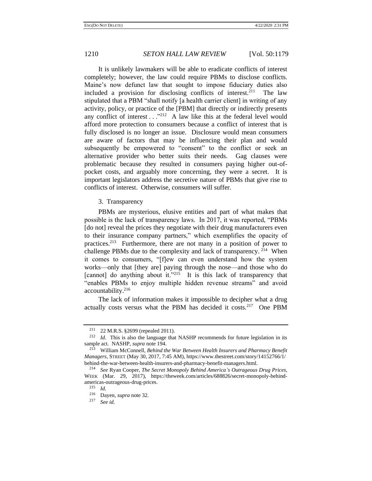It is unlikely lawmakers will be able to eradicate conflicts of interest completely; however, the law could require PBMs to disclose conflicts. Maine's now defunct law that sought to impose fiduciary duties also included a provision for disclosing conflicts of interest.  $211$  The law stipulated that a PBM "shall notify [a health carrier client] in writing of any activity, policy, or practice of the [PBM] that directly or indirectly presents any conflict of interest  $\ldots$ <sup>212</sup> A law like this at the federal level would afford more protection to consumers because a conflict of interest that is fully disclosed is no longer an issue. Disclosure would mean consumers are aware of factors that may be influencing their plan and would subsequently be empowered to "consent" to the conflict or seek an alternative provider who better suits their needs. Gag clauses were problematic because they resulted in consumers paying higher out-ofpocket costs, and arguably more concerning, they were a secret. It is important legislators address the secretive nature of PBMs that give rise to conflicts of interest. Otherwise, consumers will suffer.

3. Transparency

PBMs are mysterious, elusive entities and part of what makes that possible is the lack of transparency laws. In 2017, it was reported, "PBMs [do not] reveal the prices they negotiate with their drug manufacturers even to their insurance company partners," which exemplifies the opacity of practices.<sup>213</sup> Furthermore, there are not many in a position of power to challenge PBMs due to the complexity and lack of transparency.<sup>214</sup> When it comes to consumers, "[f]ew can even understand how the system works—only that [they are] paying through the nose—and those who do [cannot] do anything about it."<sup>215</sup> It is this lack of transparency that "enables PBMs to enjoy multiple hidden revenue streams" and avoid accountability.<sup>216</sup>

The lack of information makes it impossible to decipher what a drug actually costs versus what the PBM has decided it costs.<sup>217</sup> One PBM

<sup>211</sup> 22 M.R.S. §2699 (repealed 2011).

<sup>212</sup> *Id.* This is also the language that NASHP recommends for future legislation in its sample act. NASHP, *supra* not[e 194.](#page-28-1)

<sup>213</sup> William McConnell, *Behind the War Between Health Insurers and Pharmacy Benefit Managers*, STREET (May 30, 2017, 7:45 AM), https://www.thestreet.com/story/14152766/1/ behind-the-war-between-health-insurers-and-pharmacy-benefit-managers.html.

<sup>214</sup> *See* Ryan Cooper, *The Secret Monopoly Behind America's Outrageous Drug Prices*, WEEK (Mar. 29, 2017), https://theweek.com/articles/688826/secret-monopoly-behindamericas-outrageous-drug-prices.

 $\frac{215}{216}$  *Id.* 

<sup>&</sup>lt;sup>216</sup> Dayen, *supra* not[e 32.](#page-5-1)<br><sup>217</sup> See id

See id.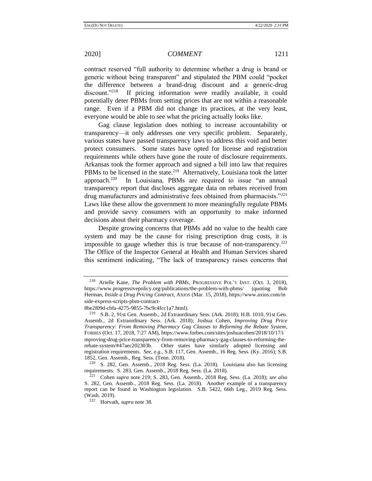contract reserved "full authority to determine whether a drug is brand or generic without being transparent" and stipulated the PBM could "pocket the difference between a brand-drug discount and a generic-drug discount."<sup>218</sup> If pricing information were readily available, it could potentially deter PBMs from setting prices that are not within a reasonable range. Even if a PBM did not change its practices, at the very least, everyone would be able to see what the pricing actually looks like.

<span id="page-32-0"></span>Gag clause legislation does nothing to increase accountability or transparency—it only addresses one very specific problem. Separately, various states have passed transparency laws to address this void and better protect consumers. Some states have opted for license and registration requirements while others have gone the route of disclosure requirements. Arkansas took the former approach and signed a bill into law that requires PBMs to be licensed in the state.<sup>219</sup> Alternatively, Louisiana took the latter approach.<sup>220</sup> In Louisiana, PBMs are required to issue "an annual transparency report that discloses aggregate data on rebates received from drug manufacturers and administrative fees obtained from pharmacists."<sup>221</sup> Laws like these allow the government to more meaningfully regulate PBMs and provide savvy consumers with an opportunity to make informed decisions about their pharmacy coverage.

Despite growing concerns that PBMs add no value to the health care system and may be the cause for rising prescription drug costs, it is impossible to gauge whether this is true because of non-transparency.<sup>222</sup> The Office of the Inspector General at Health and Human Services shared this sentiment indicating, "The lack of transparency raises concerns that

<sup>218</sup> Arielle Kane, *The Problem with PBMs*, PROGRESSIVE POL'Y INST. (Oct. 3, 2018), https://www.progressivepolicy.org/publications/the-problem-with-pbms/ (quoting Bob Herman, *Inside a Drug Pricing Contract*, AXIOS (Mar. 15, 2018), https://www.axios.com/in side-express-scripts-pbm-contract-

<sup>8</sup>be2f09d-cbfa-4275-9855-7bc9c4fcc1a7.html).

<sup>219</sup> S.B. 2, 91st Gen. Assemb., 2d Extraordinary Sess. (Ark. 2018); H.B. 1010, 91st Gen. Assemb., 2d Extraordinary Sess. (Ark. 2018); Joshua Cohen, *Improving Drug Price Transparency: From Removing Pharmacy Gag Clauses to Reforming the Rebate System*, FORBES (Oct. 17, 2018, 7:27 AM), https://www.forbes.com/sites/joshuacohen/2018/10/17/i mproving-drug-price-transparency-from-removing-pharmacy-gag-clauses-to-reforming-therebate-system/#47aec202303b. Other states have similarly adopted licensing and registration requirements. *See, e.g*., S.B. 117, Gen. Assemb., 16 Reg. Sess. (Ky. 2016); S.B. 1852, Gen. Assemb., Reg. Sess. (Tenn. 2018).

<sup>220</sup> S. 282, Gen. Assemb., 2018 Reg. Sess. (La. 2018). Louisiana also has licensing requirements. S. 283, Gen. Assemb., 2018 Reg. Sess. (La. 2018).

<sup>221</sup> Cohen *supra* note [219;](#page-32-0) S. 283, Gen. Assemb., 2018 Reg. Sess. (La. 2018); *see also* S. 282, Gen. Assemb., 2018 Reg. Sess. (La. 2018). Another example of a transparency report can be found in Washington legislation. S.B. 5422, 66th Leg., 2019 Reg. Sess. (Wash. 2019).

<sup>222</sup> Horvath, *supra* not[e 38.](#page-5-2)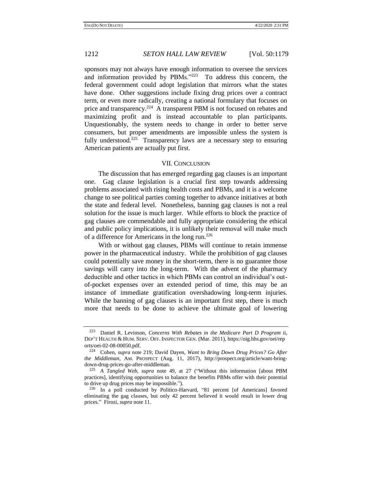sponsors may not always have enough information to oversee the services and information provided by PBMs."<sup>223</sup> To address this concern, the federal government could adopt legislation that mirrors what the states have done. Other suggestions include fixing drug prices over a contract term, or even more radically, creating a national formulary that focuses on price and transparency.<sup>224</sup> A transparent PBM is not focused on rebates and maximizing profit and is instead accountable to plan participants. Unquestionably, the system needs to change in order to better serve consumers, but proper amendments are impossible unless the system is fully understood.<sup>225</sup> Transparency laws are a necessary step to ensuring American patients are actually put first.

### VII. CONCLUSION

The discussion that has emerged regarding gag clauses is an important one. Gag clause legislation is a crucial first step towards addressing problems associated with rising health costs and PBMs, and it is a welcome change to see political parties coming together to advance initiatives at both the state and federal level. Nonetheless, banning gag clauses is not a real solution for the issue is much larger. While efforts to block the practice of gag clauses are commendable and fully appropriate considering the ethical and public policy implications, it is unlikely their removal will make much of a difference for Americans in the long run.<sup>226</sup>

With or without gag clauses, PBMs will continue to retain immense power in the pharmaceutical industry. While the prohibition of gag clauses could potentially save money in the short-term, there is no guarantee those savings will carry into the long-term. With the advent of the pharmacy deductible and other tactics in which PBMs can control an individual's outof-pocket expenses over an extended period of time, this may be an instance of immediate gratification overshadowing long-term injuries. While the banning of gag clauses is an important first step, there is much more that needs to be done to achieve the ultimate goal of lowering

<sup>223</sup> Daniel R. Levinson, *Concerns With Rebates in the Medicare Part D Program* ii, DEP'T HEALTH & HUM. SERV. OFF. INSPECTOR GEN. (Mar. 2011), https://oig.hhs.gov/oei/rep orts/oei-02-08-00050.pdf.

<sup>224</sup> Cohen, *supra* note [219;](#page-32-0) David Dayen, *Want to Bring Down Drug Prices? Go After the Middleman*, AM. PROSPECT (Aug. 11, 2017), http://prospect.org/article/want-bringdown-drug-prices-go-after-middleman.

<sup>225</sup> *A Tangled Web, supra* note [49,](#page-6-1) at 27 ("Without this information [about PBM practices], identifying opportunities to balance the benefits PBMs offer with their potential to drive up drug prices may be impossible.").

<sup>226</sup> In a poll conducted by Politico-Harvard, "81 percent [of Americans] favored eliminating the gag clauses, but only 42 percent believed it would result in lower drug prices." Firozi, *supra* not[e 11.](#page-1-0)